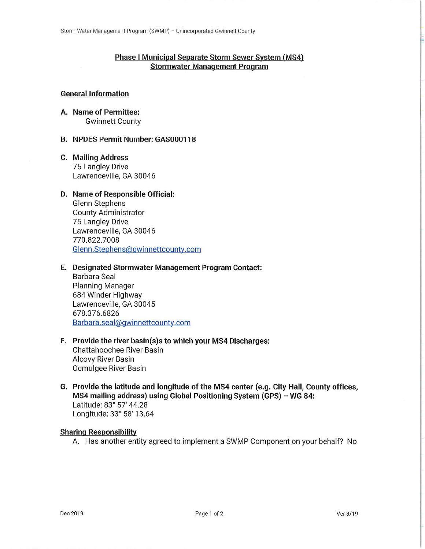## **Phase I Municipal Separate Storm Sewer System (MS4) Stormwater Management Program**

# **General Information**

A. Name of Permittee: **Gwinnett County** 

### **B. NPDES Permit Number: GAS000118**

**C. Mailing Address** 75 Langley Drive Lawrenceville, GA 30046

### D. Name of Responsible Official:

**Glenn Stephens County Administrator** 75 Langley Drive Lawrenceville, GA 30046 770.822.7008 Glenn.Stephens@gwinnettcounty.com

### E. Designated Stormwater Management Program Contact:

Barbara Seal **Planning Manager** 684 Winder Highway Lawrenceville, GA 30045 678.376.6826 Barbara.seal@gwinnettcounty.com

- F. Provide the river basin(s)s to which your MS4 Discharges: **Chattahoochee River Basin Alcovy River Basin** Ocmulgee River Basin
- G. Provide the latitude and longitude of the MS4 center (e.g. City Hall, County offices, MS4 mailing address) using Global Positioning System (GPS) - WG 84: Latitude: 83° 57' 44.28 Longitude: 33° 58' 13.64

### **Sharing Responsibility**

A. Has another entity agreed to implement a SWMP Component on your behalf? No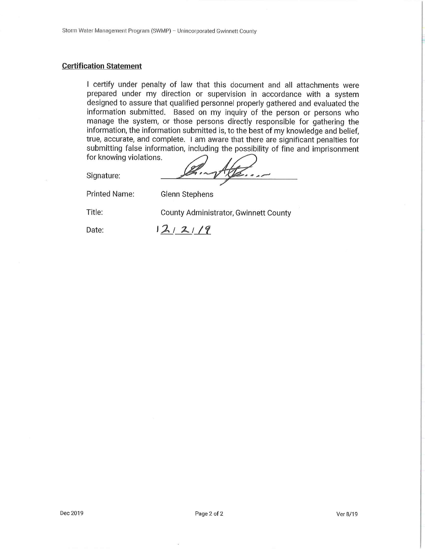### **Certification Statement**

I certify under penalty of law that this document and all attachments were prepared under my direction or supervision in accordance with a system designed to assure that qualified personnel properly gathered and evaluated the information submitted. Based on my inquiry of the person or persons who manage the system, or those persons directly responsible for gathering the information, the information submitted is, to the best of my knowledge and belief, true, accurate, and complete. I am aware that there are significant penalties for submitting false information, including the possibility of fine and imprisonment for knowing violations.

Signature:

**Printed Name:** 

Title:

County Administrator, Gwinnett County

Date:

 $12/21/9$ 

Glenn Stephens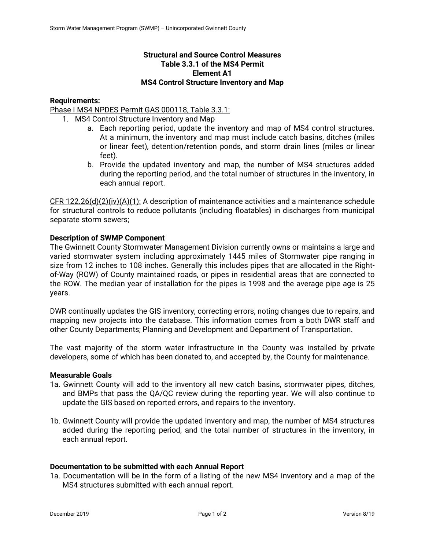# **Structural and Source Control Measures Table 3.3.1 of the MS4 Permit Element A1 MS4 Control Structure Inventory and Map**

### **Requirements:**

Phase I MS4 NPDES Permit GAS 000118, Table 3.3.1:

- 1. MS4 Control Structure Inventory and Map
	- a. Each reporting period, update the inventory and map of MS4 control structures. At a minimum, the inventory and map must include catch basins, ditches (miles or linear feet), detention/retention ponds, and storm drain lines (miles or linear feet).
	- b. Provide the updated inventory and map, the number of MS4 structures added during the reporting period, and the total number of structures in the inventory, in each annual report.

CFR 122.26(d)(2)(iv)(A)(1): A description of maintenance activities and a maintenance schedule for structural controls to reduce pollutants (including floatables) in discharges from municipal separate storm sewers;

## **Description of SWMP Component**

The Gwinnett County Stormwater Management Division currently owns or maintains a large and varied stormwater system including approximately 1445 miles of Stormwater pipe ranging in size from 12 inches to 108 inches. Generally this includes pipes that are allocated in the Rightof-Way (ROW) of County maintained roads, or pipes in residential areas that are connected to the ROW. The median year of installation for the pipes is 1998 and the average pipe age is 25 years.

DWR continually updates the GIS inventory; correcting errors, noting changes due to repairs, and mapping new projects into the database. This information comes from a both DWR staff and other County Departments; Planning and Development and Department of Transportation.

The vast majority of the storm water infrastructure in the County was installed by private developers, some of which has been donated to, and accepted by, the County for maintenance.

### **Measurable Goals**

- 1a. Gwinnett County will add to the inventory all new catch basins, stormwater pipes, ditches, and BMPs that pass the QA/QC review during the reporting year. We will also continue to update the GIS based on reported errors, and repairs to the inventory.
- 1b. Gwinnett County will provide the updated inventory and map, the number of MS4 structures added during the reporting period, and the total number of structures in the inventory, in each annual report.

### **Documentation to be submitted with each Annual Report**

1a. Documentation will be in the form of a listing of the new MS4 inventory and a map of the MS4 structures submitted with each annual report.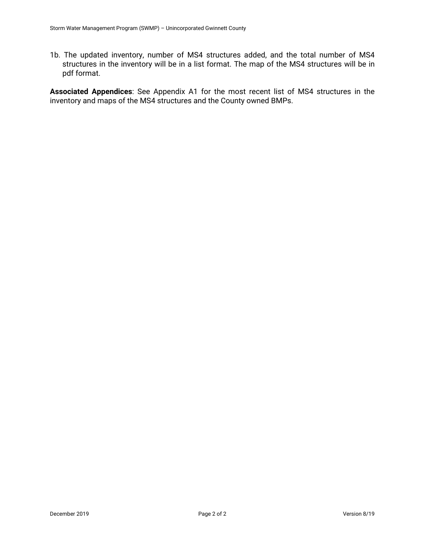1b. The updated inventory, number of MS4 structures added, and the total number of MS4 structures in the inventory will be in a list format. The map of the MS4 structures will be in pdf format.

**Associated Appendices**: See Appendix A1 for the most recent list of MS4 structures in the inventory and maps of the MS4 structures and the County owned BMPs.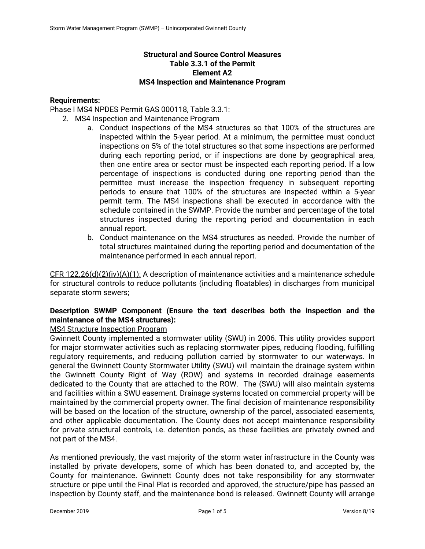# **Structural and Source Control Measures Table 3.3.1 of the Permit Element A2 MS4 Inspection and Maintenance Program**

## **Requirements:**

Phase I MS4 NPDES Permit GAS 000118, Table 3.3.1:

- 2. MS4 Inspection and Maintenance Program
	- a. Conduct inspections of the MS4 structures so that 100% of the structures are inspected within the 5-year period. At a minimum, the permittee must conduct inspections on 5% of the total structures so that some inspections are performed during each reporting period, or if inspections are done by geographical area, then one entire area or sector must be inspected each reporting period. If a low percentage of inspections is conducted during one reporting period than the permittee must increase the inspection frequency in subsequent reporting periods to ensure that 100% of the structures are inspected within a 5-year permit term. The MS4 inspections shall be executed in accordance with the schedule contained in the SWMP. Provide the number and percentage of the total structures inspected during the reporting period and documentation in each annual report.
	- b. Conduct maintenance on the MS4 structures as needed. Provide the number of total structures maintained during the reporting period and documentation of the maintenance performed in each annual report.

CFR 122.26(d)(2)(iv)(A)(1): A description of maintenance activities and a maintenance schedule for structural controls to reduce pollutants (including floatables) in discharges from municipal separate storm sewers;

# **Description SWMP Component (Ensure the text describes both the inspection and the maintenance of the MS4 structures):**

# MS4 Structure Inspection Program

Gwinnett County implemented a stormwater utility (SWU) in 2006. This utility provides support for major stormwater activities such as replacing stormwater pipes, reducing flooding, fulfilling regulatory requirements, and reducing pollution carried by stormwater to our waterways. In general the Gwinnett County Stormwater Utility (SWU) will maintain the drainage system within the Gwinnett County Right of Way (ROW) and systems in recorded drainage easements dedicated to the County that are attached to the ROW. The (SWU) will also maintain systems and facilities within a SWU easement. Drainage systems located on commercial property will be maintained by the commercial property owner. The final decision of maintenance responsibility will be based on the location of the structure, ownership of the parcel, associated easements, and other applicable documentation. The County does not accept maintenance responsibility for private structural controls, i.e. detention ponds, as these facilities are privately owned and not part of the MS4.

As mentioned previously, the vast majority of the storm water infrastructure in the County was installed by private developers, some of which has been donated to, and accepted by, the County for maintenance. Gwinnett County does not take responsibility for any stormwater structure or pipe until the Final Plat is recorded and approved, the structure/pipe has passed an inspection by County staff, and the maintenance bond is released. Gwinnett County will arrange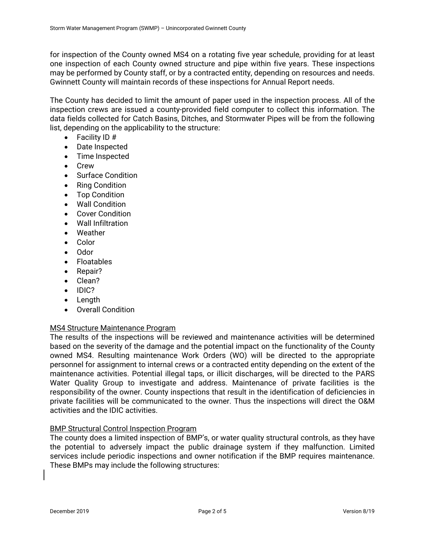for inspection of the County owned MS4 on a rotating five year schedule, providing for at least one inspection of each County owned structure and pipe within five years. These inspections may be performed by County staff, or by a contracted entity, depending on resources and needs. Gwinnett County will maintain records of these inspections for Annual Report needs.

The County has decided to limit the amount of paper used in the inspection process. All of the inspection crews are issued a county-provided field computer to collect this information. The data fields collected for Catch Basins, Ditches, and Stormwater Pipes will be from the following list, depending on the applicability to the structure:

- Facility ID #
- Date Inspected
- Time Inspected
- Crew
- Surface Condition
- Ring Condition
- Top Condition
- Wall Condition
- Cover Condition
- Wall Infiltration
- Weather
- Color
- Odor
- Floatables
- Repair?
- Clean?
- IDIC?
- Length
- Overall Condition

# MS4 Structure Maintenance Program

The results of the inspections will be reviewed and maintenance activities will be determined based on the severity of the damage and the potential impact on the functionality of the County owned MS4. Resulting maintenance Work Orders (WO) will be directed to the appropriate personnel for assignment to internal crews or a contracted entity depending on the extent of the maintenance activities. Potential illegal taps, or illicit discharges, will be directed to the PARS Water Quality Group to investigate and address. Maintenance of private facilities is the responsibility of the owner. County inspections that result in the identification of deficiencies in private facilities will be communicated to the owner. Thus the inspections will direct the O&M activities and the IDIC activities.

# BMP Structural Control Inspection Program

The county does a limited inspection of BMP's, or water quality structural controls, as they have the potential to adversely impact the public drainage system if they malfunction. Limited services include periodic inspections and owner notification if the BMP requires maintenance. These BMPs may include the following structures: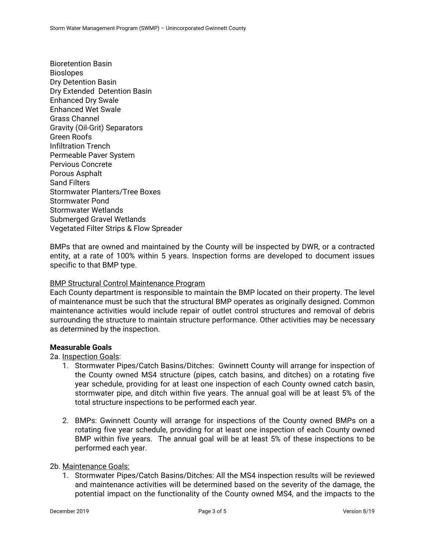Bioretention Basin Bioslopes Dry Detention Basin Dry Extended Detention Basin Enhanced Dry Swale Enhanced Wet Swale Grass Channel Gravity (Oil-Grit) Separators Green Roofs Infiltration Trench Permeable Paver System Pervious Concrete Porous Asphalt Sand Filters Stormwater Planters/Tree Boxes Stormwater Pond Stormwater Wetlands Submerged Gravel Wetlands Vegetated Filter Strips & Flow Spreader

BMPs that are owned and maintained by the County will be inspected by DWR, or a contracted entity, at a rate of 100% within 5 years. Inspection forms are developed to document issues specific to that BMP type.

### BMP Structural Control Maintenance Program

Each County department is responsible to maintain the BMP located on their property. The level of maintenance must be such that the structural BMP operates as originally designed. Common maintenance activities would include repair of outlet control structures and removal of debris surrounding the structure to maintain structure performance. Other activities may be necessary as determined by the inspection.

## **Measurable Goals**

2a. Inspection Goals:

- 1. Stormwater Pipes/Catch Basins/Ditches: Gwinnett County will arrange for inspection of the County owned MS4 structure (pipes, catch basins, and ditches) on a rotating five year schedule, providing for at least one inspection of each County owned catch basin, stormwater pipe, and ditch within five years. The annual goal will be at least 5% of the total structure inspections to be performed each year.
- 2. BMPs: Gwinnett County will arrange for inspections of the County owned BMPs on a rotating five year schedule, providing for at least one inspection of each County owned BMP within five years. The annual goal will be at least 5% of these inspections to be performed each year.

### 2b. Maintenance Goals:

1. Stormwater Pipes/Catch Basins/Ditches: All the MS4 inspection results will be reviewed and maintenance activities will be determined based on the severity of the damage, the potential impact on the functionality of the County owned MS4, and the impacts to the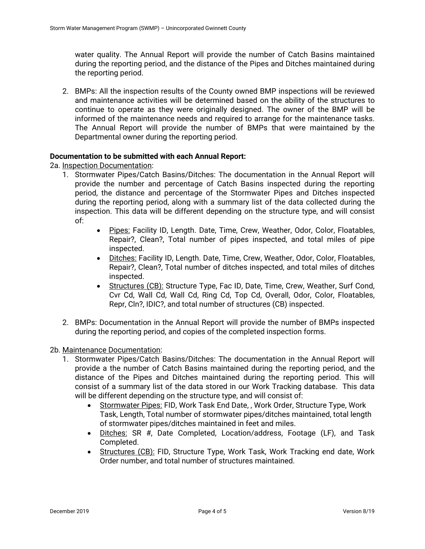water quality. The Annual Report will provide the number of Catch Basins maintained during the reporting period, and the distance of the Pipes and Ditches maintained during the reporting period.

2. BMPs: All the inspection results of the County owned BMP inspections will be reviewed and maintenance activities will be determined based on the ability of the structures to continue to operate as they were originally designed. The owner of the BMP will be informed of the maintenance needs and required to arrange for the maintenance tasks. The Annual Report will provide the number of BMPs that were maintained by the Departmental owner during the reporting period.

## **Documentation to be submitted with each Annual Report:**

2a. Inspection Documentation:

- 1. Stormwater Pipes/Catch Basins/Ditches: The documentation in the Annual Report will provide the number and percentage of Catch Basins inspected during the reporting period, the distance and percentage of the Stormwater Pipes and Ditches inspected during the reporting period, along with a summary list of the data collected during the inspection. This data will be different depending on the structure type, and will consist of:
	- Pipes: Facility ID, Length. Date, Time, Crew, Weather, Odor, Color, Floatables, Repair?, Clean?, Total number of pipes inspected, and total miles of pipe inspected.
	- Ditches: Facility ID, Length. Date, Time, Crew, Weather, Odor, Color, Floatables, Repair?, Clean?, Total number of ditches inspected, and total miles of ditches inspected.
	- Structures (CB): Structure Type, Fac ID, Date, Time, Crew, Weather, Surf Cond, Cvr Cd, Wall Cd, Wall Cd, Ring Cd, Top Cd, Overall, Odor, Color, Floatables, Repr, Cln?, IDIC?, and total number of structures (CB) inspected.
- 2. BMPs: Documentation in the Annual Report will provide the number of BMPs inspected during the reporting period, and copies of the completed inspection forms.

2b. Maintenance Documentation:

- 1. Stormwater Pipes/Catch Basins/Ditches: The documentation in the Annual Report will provide a the number of Catch Basins maintained during the reporting period, and the distance of the Pipes and Ditches maintained during the reporting period. This will consist of a summary list of the data stored in our Work Tracking database. This data will be different depending on the structure type, and will consist of:
	- Stormwater Pipes: FID, Work Task End Date, , Work Order, Structure Type, Work Task, Length, Total number of stormwater pipes/ditches maintained, total length of stormwater pipes/ditches maintained in feet and miles.
	- Ditches: SR #, Date Completed, Location/address, Footage (LF), and Task Completed.
	- Structures (CB): FID, Structure Type, Work Task, Work Tracking end date, Work Order number, and total number of structures maintained.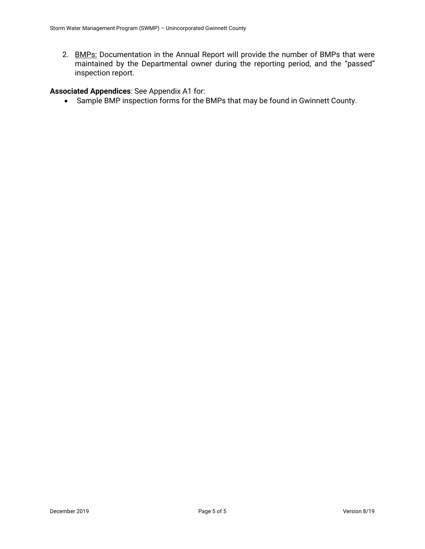2. BMPs: Documentation in the Annual Report will provide the number of BMPs that were maintained by the Departmental owner during the reporting period, and the "passed" inspection report.

# **Associated Appendices**: See Appendix A1 for:

Sample BMP inspection forms for the BMPs that may be found in Gwinnett County.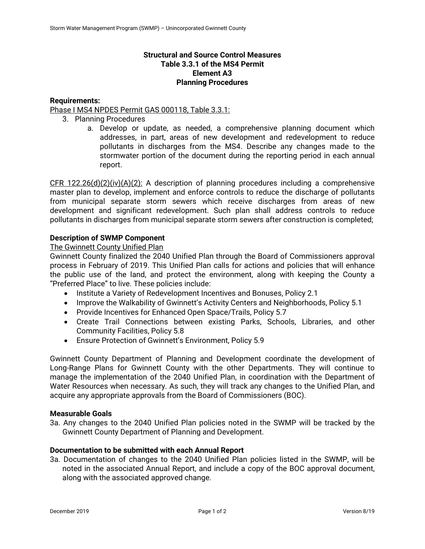## **Structural and Source Control Measures Table 3.3.1 of the MS4 Permit Element A3 Planning Procedures**

### **Requirements:**

## Phase I MS4 NPDES Permit GAS 000118, Table 3.3.1:

- 3. Planning Procedures
	- a. Develop or update, as needed, a comprehensive planning document which addresses, in part, areas of new development and redevelopment to reduce pollutants in discharges from the MS4. Describe any changes made to the stormwater portion of the document during the reporting period in each annual report.

 $CFR$  122.26(d)(2)(iv)(A)(2): A description of planning procedures including a comprehensive master plan to develop, implement and enforce controls to reduce the discharge of pollutants from municipal separate storm sewers which receive discharges from areas of new development and significant redevelopment. Such plan shall address controls to reduce pollutants in discharges from municipal separate storm sewers after construction is completed;

## **Description of SWMP Component**

## The Gwinnett County Unified Plan

Gwinnett County finalized the 2040 Unified Plan through the Board of Commissioners approval process in February of 2019. This Unified Plan calls for actions and policies that will enhance the public use of the land, and protect the environment, along with keeping the County a "Preferred Place" to live. These policies include:

- Institute a Variety of Redevelopment Incentives and Bonuses, Policy 2.1
- Improve the Walkability of Gwinnett's Activity Centers and Neighborhoods, Policy 5.1
- Provide Incentives for Enhanced Open Space/Trails, Policy 5.7
- Create Trail Connections between existing Parks, Schools, Libraries, and other Community Facilities, Policy 5.8
- Ensure Protection of Gwinnett's Environment, Policy 5.9

Gwinnett County Department of Planning and Development coordinate the development of Long-Range Plans for Gwinnett County with the other Departments. They will continue to manage the implementation of the 2040 Unified Plan, in coordination with the Department of Water Resources when necessary. As such, they will track any changes to the Unified Plan, and acquire any appropriate approvals from the Board of Commissioners (BOC).

### **Measurable Goals**

3a. Any changes to the 2040 Unified Plan policies noted in the SWMP will be tracked by the Gwinnett County Department of Planning and Development.

### **Documentation to be submitted with each Annual Report**

3a. Documentation of changes to the 2040 Unified Plan policies listed in the SWMP, will be noted in the associated Annual Report, and include a copy of the BOC approval document, along with the associated approved change.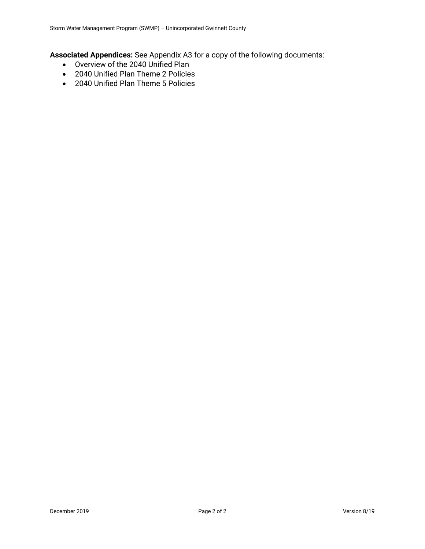**Associated Appendices:** See Appendix A3 for a copy of the following documents:

- Overview of the 2040 Unified Plan
- 2040 Unified Plan Theme 2 Policies
- 2040 Unified Plan Theme 5 Policies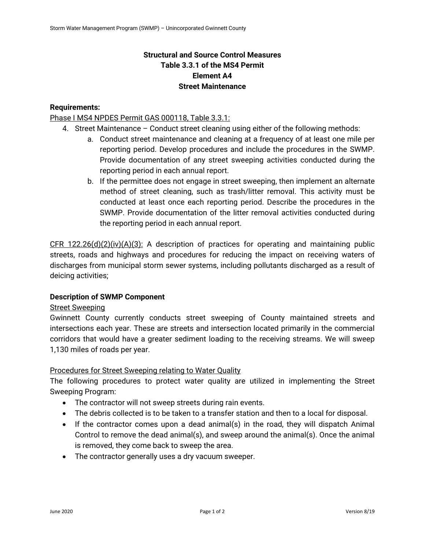# **Structural and Source Control Measures Table 3.3.1 of the MS4 Permit Element A4 Street Maintenance**

# **Requirements:**

# Phase I MS4 NPDES Permit GAS 000118, Table 3.3.1:

- 4. Street Maintenance Conduct street cleaning using either of the following methods:
	- a. Conduct street maintenance and cleaning at a frequency of at least one mile per reporting period. Develop procedures and include the procedures in the SWMP. Provide documentation of any street sweeping activities conducted during the reporting period in each annual report.
	- b. If the permittee does not engage in street sweeping, then implement an alternate method of street cleaning, such as trash/litter removal. This activity must be conducted at least once each reporting period. Describe the procedures in the SWMP. Provide documentation of the litter removal activities conducted during the reporting period in each annual report.

CFR 122.26(d)(2)(iv)(A)(3): A description of practices for operating and maintaining public streets, roads and highways and procedures for reducing the impact on receiving waters of discharges from municipal storm sewer systems, including pollutants discharged as a result of deicing activities;

### **Description of SWMP Component**

### Street Sweeping

Gwinnett County currently conducts street sweeping of County maintained streets and intersections each year. These are streets and intersection located primarily in the commercial corridors that would have a greater sediment loading to the receiving streams. We will sweep 1,130 miles of roads per year.

### Procedures for Street Sweeping relating to Water Quality

The following procedures to protect water quality are utilized in implementing the Street Sweeping Program:

- The contractor will not sweep streets during rain events.
- The debris collected is to be taken to a transfer station and then to a local for disposal.
- If the contractor comes upon a dead animal(s) in the road, they will dispatch Animal Control to remove the dead animal(s), and sweep around the animal(s). Once the animal is removed, they come back to sweep the area.
- The contractor generally uses a dry vacuum sweeper.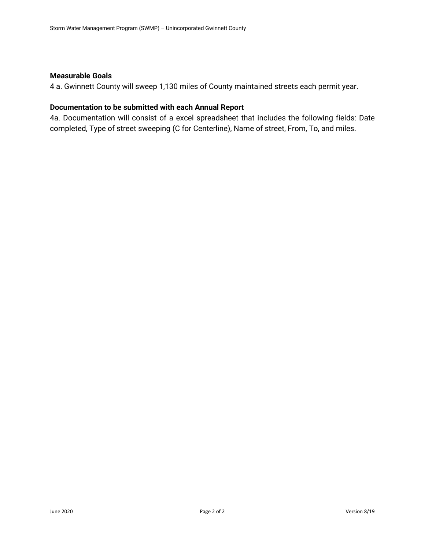### **Measurable Goals**

4 a. Gwinnett County will sweep 1,130 miles of County maintained streets each permit year.

# **Documentation to be submitted with each Annual Report**

4a. Documentation will consist of a excel spreadsheet that includes the following fields: Date completed, Type of street sweeping (C for Centerline), Name of street, From, To, and miles.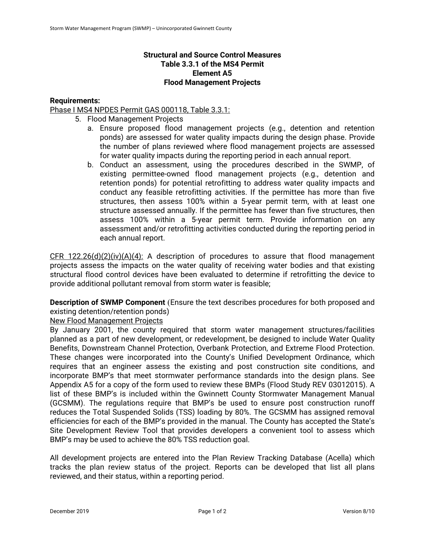# **Structural and Source Control Measures Table 3.3.1 of the MS4 Permit Element A5 Flood Management Projects**

## **Requirements:**

Phase I MS4 NPDES Permit GAS 000118, Table 3.3.1:

- 5. Flood Management Projects
	- a. Ensure proposed flood management projects (e.g., detention and retention ponds) are assessed for water quality impacts during the design phase. Provide the number of plans reviewed where flood management projects are assessed for water quality impacts during the reporting period in each annual report.
	- b. Conduct an assessment, using the procedures described in the SWMP, of existing permittee-owned flood management projects (e.g., detention and retention ponds) for potential retrofitting to address water quality impacts and conduct any feasible retrofitting activities. If the permittee has more than five structures, then assess 100% within a 5-year permit term, with at least one structure assessed annually. If the permittee has fewer than five structures, then assess 100% within a 5-year permit term. Provide information on any assessment and/or retrofitting activities conducted during the reporting period in each annual report.

CFR 122.26(d)(2)(iv)(A)(4): A description of procedures to assure that flood management projects assess the impacts on the water quality of receiving water bodies and that existing structural flood control devices have been evaluated to determine if retrofitting the device to provide additional pollutant removal from storm water is feasible;

**Description of SWMP Component** (Ensure the text describes procedures for both proposed and existing detention/retention ponds)

### New Flood Management Projects

By January 2001, the county required that storm water management structures/facilities planned as a part of new development, or redevelopment, be designed to include Water Quality Benefits, Downstream Channel Protection, Overbank Protection, and Extreme Flood Protection. These changes were incorporated into the County's Unified Development Ordinance, which requires that an engineer assess the existing and post construction site conditions, and incorporate BMP's that meet stormwater performance standards into the design plans. See Appendix A5 for a copy of the form used to review these BMPs (Flood Study REV 03012015). A list of these BMP's is included within the Gwinnett County Stormwater Management Manual (GCSMM). The regulations require that BMP's be used to ensure post construction runoff reduces the Total Suspended Solids (TSS) loading by 80%. The GCSMM has assigned removal efficiencies for each of the BMP's provided in the manual. The County has accepted the State's Site Development Review Tool that provides developers a convenient tool to assess which BMP's may be used to achieve the 80% TSS reduction goal.

All development projects are entered into the Plan Review Tracking Database (Acella) which tracks the plan review status of the project. Reports can be developed that list all plans reviewed, and their status, within a reporting period.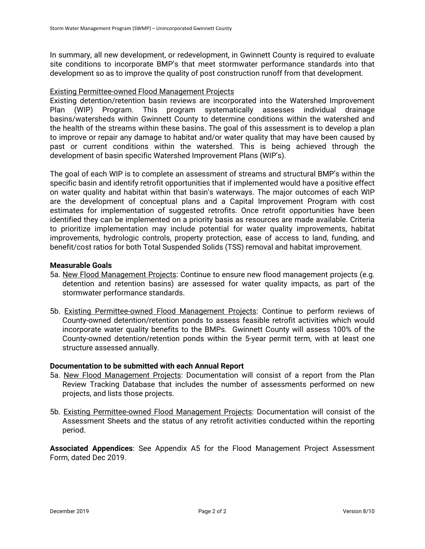In summary, all new development, or redevelopment, in Gwinnett County is required to evaluate site conditions to incorporate BMP's that meet stormwater performance standards into that development so as to improve the quality of post construction runoff from that development.

## Existing Permittee-owned Flood Management Projects

Existing detention/retention basin reviews are incorporated into the Watershed Improvement Plan (WIP) Program. This program systematically assesses individual drainage basins/watersheds within Gwinnett County to determine conditions within the watershed and the health of the streams within these basins. The goal of this assessment is to develop a plan to improve or repair any damage to habitat and/or water quality that may have been caused by past or current conditions within the watershed. This is being achieved through the development of basin specific Watershed Improvement Plans (WIP's).

The goal of each WIP is to complete an assessment of streams and structural BMP's within the specific basin and identify retrofit opportunities that if implemented would have a positive effect on water quality and habitat within that basin's waterways. The major outcomes of each WIP are the development of conceptual plans and a Capital Improvement Program with cost estimates for implementation of suggested retrofits. Once retrofit opportunities have been identified they can be implemented on a priority basis as resources are made available. Criteria to prioritize implementation may include potential for water quality improvements, habitat improvements, hydrologic controls, property protection, ease of access to land, funding, and benefit/cost ratios for both Total Suspended Solids (TSS) removal and habitat improvement.

## **Measurable Goals**

- 5a. New Flood Management Projects: Continue to ensure new flood management projects (e.g. detention and retention basins) are assessed for water quality impacts, as part of the stormwater performance standards.
- 5b. Existing Permittee-owned Flood Management Projects: Continue to perform reviews of County-owned detention/retention ponds to assess feasible retrofit activities which would incorporate water quality benefits to the BMPs. Gwinnett County will assess 100% of the County-owned detention/retention ponds within the 5-year permit term, with at least one structure assessed annually.

### **Documentation to be submitted with each Annual Report**

- 5a. New Flood Management Projects: Documentation will consist of a report from the Plan Review Tracking Database that includes the number of assessments performed on new projects, and lists those projects.
- 5b. Existing Permittee-owned Flood Management Projects: Documentation will consist of the Assessment Sheets and the status of any retrofit activities conducted within the reporting period.

**Associated Appendices**: See Appendix A5 for the Flood Management Project Assessment Form, dated Dec 2019.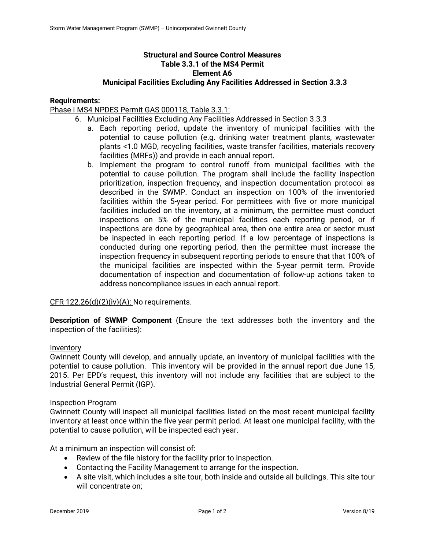# **Structural and Source Control Measures Table 3.3.1 of the MS4 Permit Element A6**

## **Municipal Facilities Excluding Any Facilities Addressed in Section 3.3.3**

### **Requirements:**

### Phase I MS4 NPDES Permit GAS 000118, Table 3.3.1:

- 6. Municipal Facilities Excluding Any Facilities Addressed in Section 3.3.3
	- a. Each reporting period, update the inventory of municipal facilities with the potential to cause pollution (e.g. drinking water treatment plants, wastewater plants <1.0 MGD, recycling facilities, waste transfer facilities, materials recovery facilities (MRFs)) and provide in each annual report.
	- b. Implement the program to control runoff from municipal facilities with the potential to cause pollution. The program shall include the facility inspection prioritization, inspection frequency, and inspection documentation protocol as described in the SWMP. Conduct an inspection on 100% of the inventoried facilities within the 5-year period. For permittees with five or more municipal facilities included on the inventory, at a minimum, the permittee must conduct inspections on 5% of the municipal facilities each reporting period, or if inspections are done by geographical area, then one entire area or sector must be inspected in each reporting period. If a low percentage of inspections is conducted during one reporting period, then the permittee must increase the inspection frequency in subsequent reporting periods to ensure that that 100% of the municipal facilities are inspected within the 5-year permit term. Provide documentation of inspection and documentation of follow-up actions taken to address noncompliance issues in each annual report.

### CFR  $122.26(d)(2)(iv)(A)$ : No requirements.

**Description of SWMP Component** (Ensure the text addresses both the inventory and the inspection of the facilities):

#### Inventory

Gwinnett County will develop, and annually update, an inventory of municipal facilities with the potential to cause pollution. This inventory will be provided in the annual report due June 15, 2015. Per EPD's request, this inventory will not include any facilities that are subject to the Industrial General Permit (IGP).

#### Inspection Program

Gwinnett County will inspect all municipal facilities listed on the most recent municipal facility inventory at least once within the five year permit period. At least one municipal facility, with the potential to cause pollution, will be inspected each year.

At a minimum an inspection will consist of:

- Review of the file history for the facility prior to inspection.
- Contacting the Facility Management to arrange for the inspection.
- A site visit, which includes a site tour, both inside and outside all buildings. This site tour will concentrate on;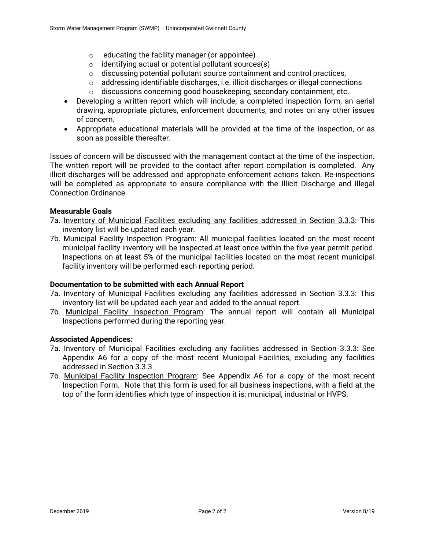- $\circ$  educating the facility manager (or appointee)
- $\circ$  identifying actual or potential pollutant sources(s)
- o discussing potential pollutant source containment and control practices,
- $\circ$  addressing identifiable discharges, i.e. illicit discharges or illegal connections
- $\circ$  discussions concerning good housekeeping, secondary containment, etc.
- Developing a written report which will include; a completed inspection form, an aerial drawing, appropriate pictures, enforcement documents, and notes on any other issues of concern.
- Appropriate educational materials will be provided at the time of the inspection, or as soon as possible thereafter.

Issues of concern will be discussed with the management contact at the time of the inspection. The written report will be provided to the contact after report compilation is completed. Any illicit discharges will be addressed and appropriate enforcement actions taken. Re-inspections will be completed as appropriate to ensure compliance with the Illicit Discharge and Illegal Connection Ordinance.

## **Measurable Goals**

- 7a. Inventory of Municipal Facilities excluding any facilities addressed in Section 3.3.3: This inventory list will be updated each year.
- 7b. Municipal Facility Inspection Program: All municipal facilities located on the most recent municipal facility inventory will be inspected at least once within the five year permit period. Inspections on at least 5% of the municipal facilities located on the most recent municipal facility inventory will be performed each reporting period.

### **Documentation to be submitted with each Annual Report**

- 7a. Inventory of Municipal Facilities excluding any facilities addressed in Section 3.3.3: This inventory list will be updated each year and added to the annual report.
- 7b. Municipal Facility Inspection Program: The annual report will contain all Municipal Inspections performed during the reporting year.

### **Associated Appendices:**

- 7a. Inventory of Municipal Facilities excluding any facilities addressed in Section 3.3.3: See Appendix A6 for a copy of the most recent Municipal Facilities, excluding any facilities addressed in Section 3.3.3
- 7b. Municipal Facility Inspection Program: See Appendix A6 for a copy of the most recent Inspection Form. Note that this form is used for all business inspections, with a field at the top of the form identifies which type of inspection it is; municipal, industrial or HVPS.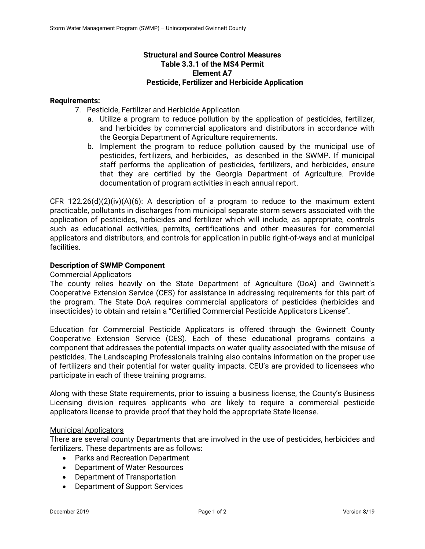## **Structural and Source Control Measures Table 3.3.1 of the MS4 Permit Element A7 Pesticide, Fertilizer and Herbicide Application**

### **Requirements:**

- 7. Pesticide, Fertilizer and Herbicide Application
	- a. Utilize a program to reduce pollution by the application of pesticides, fertilizer, and herbicides by commercial applicators and distributors in accordance with the Georgia Department of Agriculture requirements.
	- b. Implement the program to reduce pollution caused by the municipal use of pesticides, fertilizers, and herbicides, as described in the SWMP. If municipal staff performs the application of pesticides, fertilizers, and herbicides, ensure that they are certified by the Georgia Department of Agriculture. Provide documentation of program activities in each annual report.

CFR 122.26(d)(2)(iv)(A)(6): A description of a program to reduce to the maximum extent practicable, pollutants in discharges from municipal separate storm sewers associated with the application of pesticides, herbicides and fertilizer which will include, as appropriate, controls such as educational activities, permits, certifications and other measures for commercial applicators and distributors, and controls for application in public right-of-ways and at municipal facilities.

### **Description of SWMP Component**

Commercial Applicators

The county relies heavily on the State Department of Agriculture (DoA) and Gwinnett's Cooperative Extension Service (CES) for assistance in addressing requirements for this part of the program. The State DoA requires commercial applicators of pesticides (herbicides and insecticides) to obtain and retain a "Certified Commercial Pesticide Applicators License".

Education for Commercial Pesticide Applicators is offered through the Gwinnett County Cooperative Extension Service (CES). Each of these educational programs contains a component that addresses the potential impacts on water quality associated with the misuse of pesticides. The Landscaping Professionals training also contains information on the proper use of fertilizers and their potential for water quality impacts. CEU's are provided to licensees who participate in each of these training programs.

Along with these State requirements, prior to issuing a business license, the County's Business Licensing division requires applicants who are likely to require a commercial pesticide applicators license to provide proof that they hold the appropriate State license.

### Municipal Applicators

There are several county Departments that are involved in the use of pesticides, herbicides and fertilizers. These departments are as follows:

- Parks and Recreation Department
- Department of Water Resources
- Department of Transportation
- Department of Support Services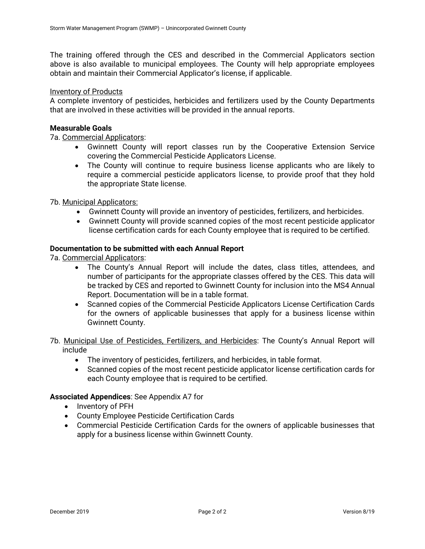The training offered through the CES and described in the Commercial Applicators section above is also available to municipal employees. The County will help appropriate employees obtain and maintain their Commercial Applicator's license, if applicable.

### Inventory of Products

A complete inventory of pesticides, herbicides and fertilizers used by the County Departments that are involved in these activities will be provided in the annual reports.

### **Measurable Goals**

7a. Commercial Applicators:

- Gwinnett County will report classes run by the Cooperative Extension Service covering the Commercial Pesticide Applicators License.
- The County will continue to require business license applicants who are likely to require a commercial pesticide applicators license, to provide proof that they hold the appropriate State license.

7b. Municipal Applicators:

- Gwinnett County will provide an inventory of pesticides, fertilizers, and herbicides.
- Gwinnett County will provide scanned copies of the most recent pesticide applicator license certification cards for each County employee that is required to be certified.

### **Documentation to be submitted with each Annual Report**

7a. Commercial Applicators:

- The County's Annual Report will include the dates, class titles, attendees, and number of participants for the appropriate classes offered by the CES. This data will be tracked by CES and reported to Gwinnett County for inclusion into the MS4 Annual Report. Documentation will be in a table format.
- Scanned copies of the Commercial Pesticide Applicators License Certification Cards for the owners of applicable businesses that apply for a business license within Gwinnett County.

## 7b. Municipal Use of Pesticides, Fertilizers, and Herbicides: The County's Annual Report will include

- The inventory of pesticides, fertilizers, and herbicides, in table format.
- Scanned copies of the most recent pesticide applicator license certification cards for each County employee that is required to be certified.

## **Associated Appendices**: See Appendix A7 for

- Inventory of PFH
- County Employee Pesticide Certification Cards
- Commercial Pesticide Certification Cards for the owners of applicable businesses that apply for a business license within Gwinnett County.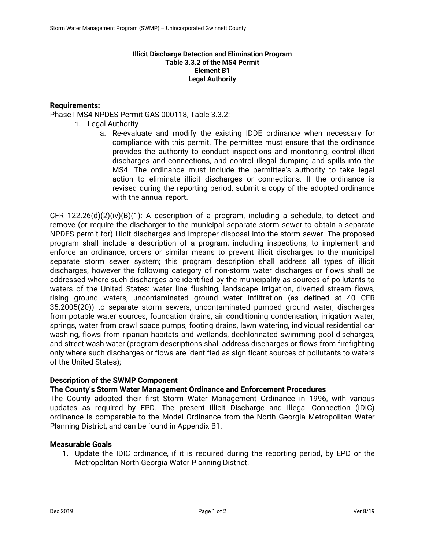### **Illicit Discharge Detection and Elimination Program Table 3.3.2 of the MS4 Permit Element B1 Legal Authority**

## **Requirements:**

## Phase I MS4 NPDES Permit GAS 000118, Table 3.3.2:

- 1. Legal Authority
	- a. Re-evaluate and modify the existing IDDE ordinance when necessary for compliance with this permit. The permittee must ensure that the ordinance provides the authority to conduct inspections and monitoring, control illicit discharges and connections, and control illegal dumping and spills into the MS4. The ordinance must include the permittee's authority to take legal action to eliminate illicit discharges or connections. If the ordinance is revised during the reporting period, submit a copy of the adopted ordinance with the annual report.

 $CFR$  122.26(d)(2)(iv)(B)(1): A description of a program, including a schedule, to detect and remove (or require the discharger to the municipal separate storm sewer to obtain a separate NPDES permit for) illicit discharges and improper disposal into the storm sewer. The proposed program shall include a description of a program, including inspections, to implement and enforce an ordinance, orders or similar means to prevent illicit discharges to the municipal separate storm sewer system; this program description shall address all types of illicit discharges, however the following category of non-storm water discharges or flows shall be addressed where such discharges are identified by the municipality as sources of pollutants to waters of the United States: water line flushing, landscape irrigation, diverted stream flows, rising ground waters, uncontaminated ground water infiltration (as defined at 40 CFR 35.2005(20)) to separate storm sewers, uncontaminated pumped ground water, discharges from potable water sources, foundation drains, air conditioning condensation, irrigation water, springs, water from crawl space pumps, footing drains, lawn watering, individual residential car washing, flows from riparian habitats and wetlands, dechlorinated swimming pool discharges, and street wash water (program descriptions shall address discharges or flows from firefighting only where such discharges or flows are identified as significant sources of pollutants to waters of the United States);

### **Description of the SWMP Component**

### **The County's Storm Water Management Ordinance and Enforcement Procedures**

The County adopted their first Storm Water Management Ordinance in 1996, with various updates as required by EPD. The present Illicit Discharge and Illegal Connection (IDIC) ordinance is comparable to the Model Ordinance from the North Georgia Metropolitan Water Planning District, and can be found in Appendix B1.

### **Measurable Goals**

1. Update the IDIC ordinance, if it is required during the reporting period, by EPD or the Metropolitan North Georgia Water Planning District.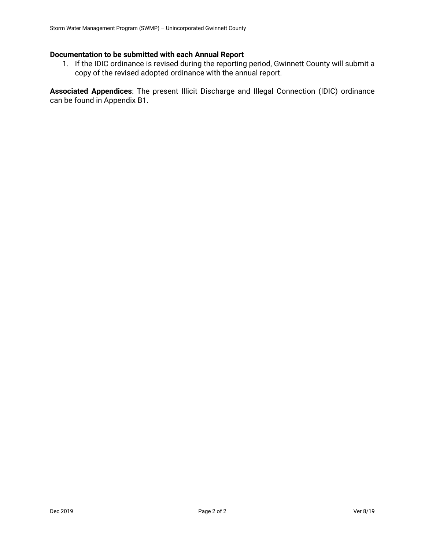# **Documentation to be submitted with each Annual Report**

1. If the IDIC ordinance is revised during the reporting period, Gwinnett County will submit a copy of the revised adopted ordinance with the annual report.

**Associated Appendices**: The present Illicit Discharge and Illegal Connection (IDIC) ordinance can be found in Appendix B1.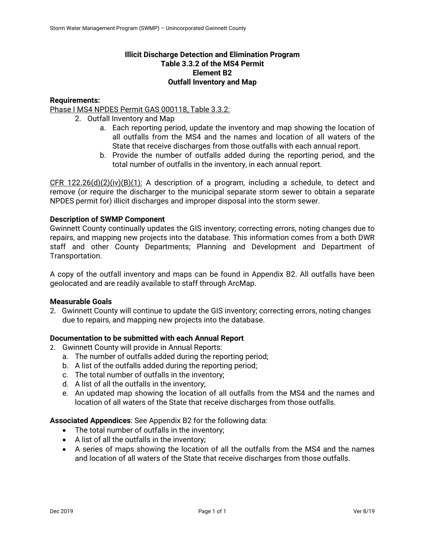# **Illicit Discharge Detection and Elimination Program Table 3.3.2 of the MS4 Permit Element B2 Outfall Inventory and Map**

# **Requirements:**

Phase I MS4 NPDES Permit GAS 000118, Table 3.3.2:

- 2. Outfall Inventory and Map
	- a. Each reporting period, update the inventory and map showing the location of all outfalls from the MS4 and the names and location of all waters of the State that receive discharges from those outfalls with each annual report.
	- b. Provide the number of outfalls added during the reporting period, and the total number of outfalls in the inventory, in each annual report.

CFR 122.26(d)(2)(iv)(B)(1): A description of a program, including a schedule, to detect and remove (or require the discharger to the municipal separate storm sewer to obtain a separate NPDES permit for) illicit discharges and improper disposal into the storm sewer.

# **Description of SWMP Component**

Gwinnett County continually updates the GIS inventory; correcting errors, noting changes due to repairs, and mapping new projects into the database. This information comes from a both DWR staff and other County Departments; Planning and Development and Department of Transportation.

A copy of the outfall inventory and maps can be found in Appendix B2. All outfalls have been geolocated and are readily available to staff through ArcMap.

### **Measurable Goals**

2. Gwinnett County will continue to update the GIS inventory; correcting errors, noting changes due to repairs, and mapping new projects into the database.

### **Documentation to be submitted with each Annual Report**

- 2. Gwinnett County will provide in Annual Reports:
	- a. The number of outfalls added during the reporting period;
	- b. A list of the outfalls added during the reporting period;
	- c. The total number of outfalls in the inventory;
	- d. A list of all the outfalls in the inventory;
	- e. An updated map showing the location of all outfalls from the MS4 and the names and location of all waters of the State that receive discharges from those outfalls.

# **Associated Appendices**: See Appendix B2 for the following data:

- The total number of outfalls in the inventory;
- A list of all the outfalls in the inventory;
- A series of maps showing the location of all the outfalls from the MS4 and the names and location of all waters of the State that receive discharges from those outfalls.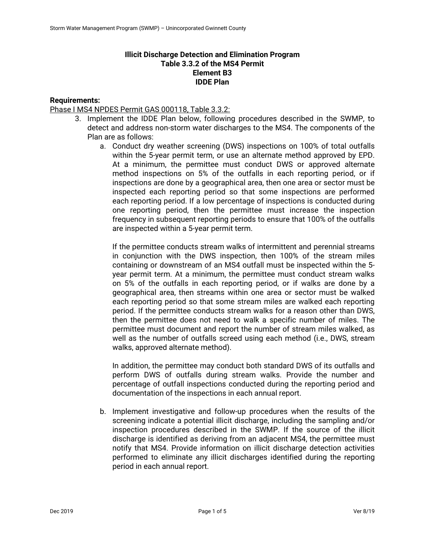# **Illicit Discharge Detection and Elimination Program Table 3.3.2 of the MS4 Permit Element B3 IDDE Plan**

# **Requirements:**

Phase I MS4 NPDES Permit GAS 000118, Table 3.3.2:

- 3. Implement the IDDE Plan below, following procedures described in the SWMP, to detect and address non-storm water discharges to the MS4. The components of the Plan are as follows:
	- a. Conduct dry weather screening (DWS) inspections on 100% of total outfalls within the 5-year permit term, or use an alternate method approved by EPD. At a minimum, the permittee must conduct DWS or approved alternate method inspections on 5% of the outfalls in each reporting period, or if inspections are done by a geographical area, then one area or sector must be inspected each reporting period so that some inspections are performed each reporting period. If a low percentage of inspections is conducted during one reporting period, then the permittee must increase the inspection frequency in subsequent reporting periods to ensure that 100% of the outfalls are inspected within a 5-year permit term.

If the permittee conducts stream walks of intermittent and perennial streams in conjunction with the DWS inspection, then 100% of the stream miles containing or downstream of an MS4 outfall must be inspected within the 5 year permit term. At a minimum, the permittee must conduct stream walks on 5% of the outfalls in each reporting period, or if walks are done by a geographical area, then streams within one area or sector must be walked each reporting period so that some stream miles are walked each reporting period. If the permittee conducts stream walks for a reason other than DWS, then the permittee does not need to walk a specific number of miles. The permittee must document and report the number of stream miles walked, as well as the number of outfalls screed using each method (i.e., DWS, stream walks, approved alternate method).

In addition, the permittee may conduct both standard DWS of its outfalls and perform DWS of outfalls during stream walks. Provide the number and percentage of outfall inspections conducted during the reporting period and documentation of the inspections in each annual report.

b. Implement investigative and follow-up procedures when the results of the screening indicate a potential illicit discharge, including the sampling and/or inspection procedures described in the SWMP. If the source of the illicit discharge is identified as deriving from an adjacent MS4, the permittee must notify that MS4. Provide information on illicit discharge detection activities performed to eliminate any illicit discharges identified during the reporting period in each annual report.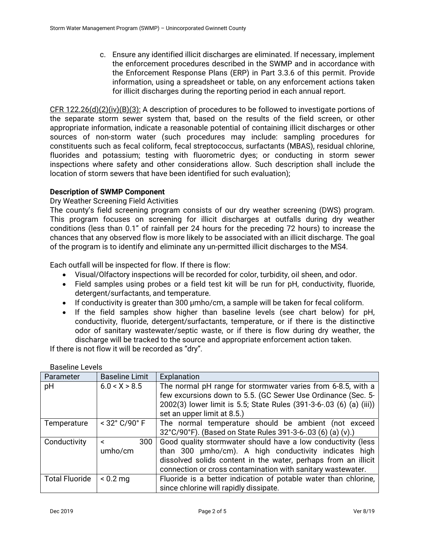c. Ensure any identified illicit discharges are eliminated. If necessary, implement the enforcement procedures described in the SWMP and in accordance with the Enforcement Response Plans (ERP) in Part 3.3.6 of this permit. Provide information, using a spreadsheet or table, on any enforcement actions taken for illicit discharges during the reporting period in each annual report.

 $CFR$  122.26(d)(2)(iv)(B)(3): A description of procedures to be followed to investigate portions of the separate storm sewer system that, based on the results of the field screen, or other appropriate information, indicate a reasonable potential of containing illicit discharges or other sources of non-storm water (such procedures may include: sampling procedures for constituents such as fecal coliform, fecal streptococcus, surfactants (MBAS), residual chlorine, fluorides and potassium; testing with fluorometric dyes; or conducting in storm sewer inspections where safety and other considerations allow. Such description shall include the location of storm sewers that have been identified for such evaluation);

# **Description of SWMP Component**

# Dry Weather Screening Field Activities

The county's field screening program consists of our dry weather screening (DWS) program. This program focuses on screening for illicit discharges at outfalls during dry weather conditions (less than 0.1" of rainfall per 24 hours for the preceding 72 hours) to increase the chances that any observed flow is more likely to be associated with an illicit discharge. The goal of the program is to identify and eliminate any un-permitted illicit discharges to the MS4.

Each outfall will be inspected for flow. If there is flow:

- Visual/Olfactory inspections will be recorded for color, turbidity, oil sheen, and odor.
- Field samples using probes or a field test kit will be run for pH, conductivity, fluoride, detergent/surfactants, and temperature.
- If conductivity is greater than 300  $\mu$ mho/cm, a sample will be taken for fecal coliform.
- If the field samples show higher than baseline levels (see chart below) for pH, conductivity, fluoride, detergent/surfactants, temperature, or if there is the distinctive odor of sanitary wastewater/septic waste, or if there is flow during dry weather, the discharge will be tracked to the source and appropriate enforcement action taken.

If there is not flow it will be recorded as "dry".

| Parameter                           | <b>Baseline Limit</b>               | Explanation                                                         |  |
|-------------------------------------|-------------------------------------|---------------------------------------------------------------------|--|
| pH                                  | 6.0 < X > 8.5                       | The normal pH range for stormwater varies from 6-8.5, with a        |  |
|                                     |                                     | few excursions down to 5.5. (GC Sewer Use Ordinance (Sec. 5-        |  |
|                                     |                                     | 2002(3) lower limit is 5.5; State Rules (391-3-6-.03 (6) (a) (iii)) |  |
|                                     |                                     | set an upper limit at 8.5.)                                         |  |
| Temperature                         | $<$ 32 $^{\circ}$ C/90 $^{\circ}$ F | The normal temperature should be ambient (not exceed                |  |
|                                     |                                     | 32°C/90°F). (Based on State Rules 391-3-6-.03 (6) (a) (v).)         |  |
| Conductivity                        | 300<br>≺                            | Good quality stormwater should have a low conductivity (less        |  |
|                                     | umho/cm                             | than 300 umho/cm). A high conductivity indicates high               |  |
|                                     |                                     | dissolved solids content in the water, perhaps from an illicit      |  |
|                                     |                                     | connection or cross contamination with sanitary wastewater.         |  |
| <b>Total Fluoride</b><br>$< 0.2$ mg |                                     | Fluoride is a better indication of potable water than chlorine,     |  |
|                                     |                                     | since chlorine will rapidly dissipate.                              |  |

Baseline Levels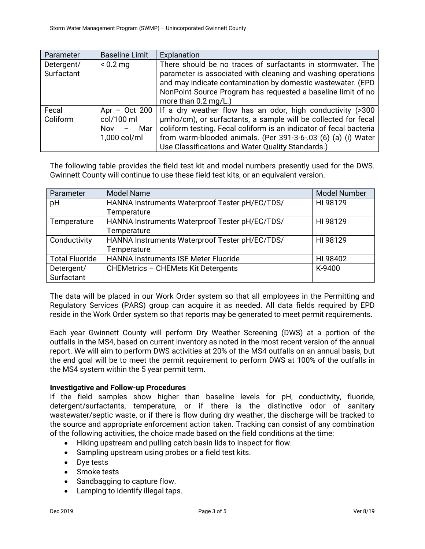| Parameter                | <b>Baseline Limit</b>                             | Explanation                                                                                                                                                                                                                                                                                                                                |
|--------------------------|---------------------------------------------------|--------------------------------------------------------------------------------------------------------------------------------------------------------------------------------------------------------------------------------------------------------------------------------------------------------------------------------------------|
| Detergent/<br>Surfactant | $< 0.2$ mg                                        | There should be no traces of surfactants in stormwater. The<br>parameter is associated with cleaning and washing operations<br>and may indicate contamination by domestic wastewater. (EPD<br>NonPoint Source Program has requested a baseline limit of no<br>more than $0.2 \text{ mg/L.}$ )                                              |
| Fecal<br>Coliform        | col/100 ml<br>Mar I<br><b>Nov</b><br>1,000 col/ml | Apr - Oct 200   If a dry weather flow has an odor, high conductivity $(>300$<br>umho/cm), or surfactants, a sample will be collected for fecal<br>coliform testing. Fecal coliform is an indicator of fecal bacteria<br>from warm-blooded animals. (Per 391-3-6-.03 (6) (a) (i) Water<br>Use Classifications and Water Quality Standards.) |

The following table provides the field test kit and model numbers presently used for the DWS. Gwinnett County will continue to use these field test kits, or an equivalent version.

| Parameter             | <b>Model Name</b>                              | <b>Model Number</b> |
|-----------------------|------------------------------------------------|---------------------|
| pH                    | HANNA Instruments Waterproof Tester pH/EC/TDS/ | HI 98129            |
|                       | Temperature                                    |                     |
| Temperature           | HANNA Instruments Waterproof Tester pH/EC/TDS/ | HI 98129            |
|                       | Temperature                                    |                     |
| Conductivity          | HANNA Instruments Waterproof Tester pH/EC/TDS/ | HI 98129            |
|                       | Temperature                                    |                     |
| <b>Total Fluoride</b> | <b>HANNA Instruments ISE Meter Fluoride</b>    | HI 98402            |
| Detergent/            | CHEMetrics - CHEMets Kit Detergents            | K-9400              |
| Surfactant            |                                                |                     |

The data will be placed in our Work Order system so that all employees in the Permitting and Regulatory Services (PARS) group can acquire it as needed. All data fields required by EPD reside in the Work Order system so that reports may be generated to meet permit requirements.

Each year Gwinnett County will perform Dry Weather Screening (DWS) at a portion of the outfalls in the MS4, based on current inventory as noted in the most recent version of the annual report. We will aim to perform DWS activities at 20% of the MS4 outfalls on an annual basis, but the end goal will be to meet the permit requirement to perform DWS at 100% of the outfalls in the MS4 system within the 5 year permit term.

# **Investigative and Follow-up Procedures**

If the field samples show higher than baseline levels for pH, conductivity, fluoride, detergent/surfactants, temperature, or if there is the distinctive odor of sanitary wastewater/septic waste, or if there is flow during dry weather, the discharge will be tracked to the source and appropriate enforcement action taken. Tracking can consist of any combination of the following activities, the choice made based on the field conditions at the time:

- Hiking upstream and pulling catch basin lids to inspect for flow.
- Sampling upstream using probes or a field test kits.
- Dve tests
- Smoke tests
- Sandbagging to capture flow.
- Lamping to identify illegal taps.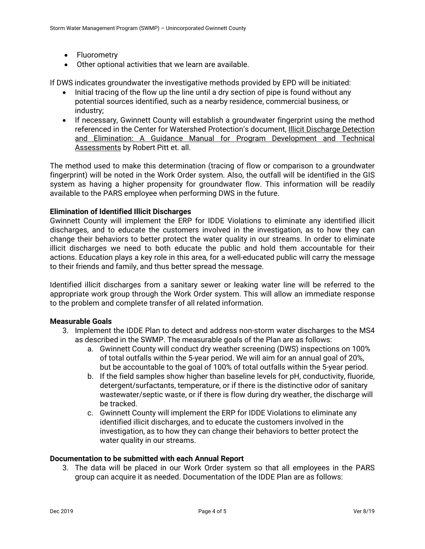- Fluorometry
- Other optional activities that we learn are available.

If DWS indicates groundwater the investigative methods provided by EPD will be initiated:

- Initial tracing of the flow up the line until a dry section of pipe is found without any potential sources identified, such as a nearby residence, commercial business, or industry;
- If necessary, Gwinnett County will establish a groundwater fingerprint using the method referenced in the Center for Watershed Protection's document, Illicit Discharge Detection and Elimination: A Guidance Manual for Program Development and Technical Assessments by Robert Pitt et. all.

The method used to make this determination (tracing of flow or comparison to a groundwater fingerprint) will be noted in the Work Order system. Also, the outfall will be identified in the GIS system as having a higher propensity for groundwater flow. This information will be readily available to the PARS employee when performing DWS in the future.

## **Elimination of Identified Illicit Discharges**

Gwinnett County will implement the ERP for IDDE Violations to eliminate any identified illicit discharges, and to educate the customers involved in the investigation, as to how they can change their behaviors to better protect the water quality in our streams. In order to eliminate illicit discharges we need to both educate the public and hold them accountable for their actions. Education plays a key role in this area, for a well-educated public will carry the message to their friends and family, and thus better spread the message.

Identified illicit discharges from a sanitary sewer or leaking water line will be referred to the appropriate work group through the Work Order system. This will allow an immediate response to the problem and complete transfer of all related information.

### **Measurable Goals**

- 3. Implement the IDDE Plan to detect and address non-storm water discharges to the MS4 as described in the SWMP. The measurable goals of the Plan are as follows:
	- a. Gwinnett County will conduct dry weather screening (DWS) inspections on 100% of total outfalls within the 5-year period. We will aim for an annual goal of 20%, but be accountable to the goal of 100% of total outfalls within the 5-year period.
	- b. If the field samples show higher than baseline levels for pH, conductivity, fluoride, detergent/surfactants, temperature, or if there is the distinctive odor of sanitary wastewater/septic waste, or if there is flow during dry weather, the discharge will be tracked.
	- c. Gwinnett County will implement the ERP for IDDE Violations to eliminate any identified illicit discharges, and to educate the customers involved in the investigation, as to how they can change their behaviors to better protect the water quality in our streams.

### **Documentation to be submitted with each Annual Report**

3. The data will be placed in our Work Order system so that all employees in the PARS group can acquire it as needed. Documentation of the IDDE Plan are as follows: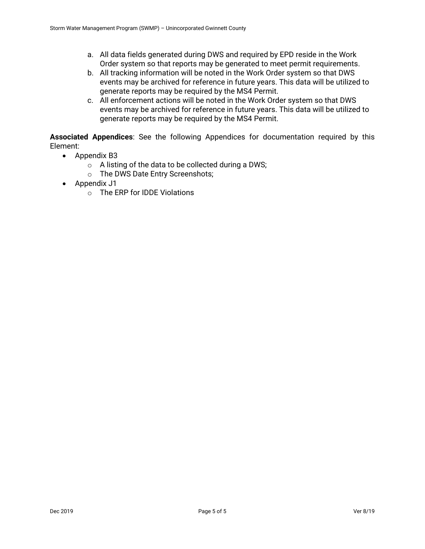- a. All data fields generated during DWS and required by EPD reside in the Work Order system so that reports may be generated to meet permit requirements.
- b. All tracking information will be noted in the Work Order system so that DWS events may be archived for reference in future years. This data will be utilized to generate reports may be required by the MS4 Permit.
- c. All enforcement actions will be noted in the Work Order system so that DWS events may be archived for reference in future years. This data will be utilized to generate reports may be required by the MS4 Permit.

**Associated Appendices**: See the following Appendices for documentation required by this Element:

- Appendix B3
	- $\circ$  A listing of the data to be collected during a DWS;
	- o The DWS Date Entry Screenshots;
- Appendix J1
	- o The ERP for IDDE Violations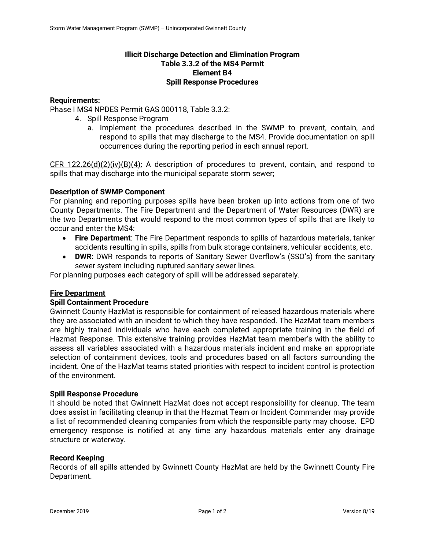# **Illicit Discharge Detection and Elimination Program Table 3.3.2 of the MS4 Permit Element B4 Spill Response Procedures**

## **Requirements:**

Phase I MS4 NPDES Permit GAS 000118, Table 3.3.2:

- 4. Spill Response Program
	- a. Implement the procedures described in the SWMP to prevent, contain, and respond to spills that may discharge to the MS4. Provide documentation on spill occurrences during the reporting period in each annual report.

CFR 122.26(d)(2)(iv)(B)(4): A description of procedures to prevent, contain, and respond to spills that may discharge into the municipal separate storm sewer;

## **Description of SWMP Component**

For planning and reporting purposes spills have been broken up into actions from one of two County Departments. The Fire Department and the Department of Water Resources (DWR) are the two Departments that would respond to the most common types of spills that are likely to occur and enter the MS4:

- **Fire Department**: The Fire Department responds to spills of hazardous materials, tanker accidents resulting in spills, spills from bulk storage containers, vehicular accidents, etc.
- **DWR:** DWR responds to reports of Sanitary Sewer Overflow's (SSO's) from the sanitary sewer system including ruptured sanitary sewer lines.

For planning purposes each category of spill will be addressed separately.

### **Fire Department**

### **Spill Containment Procedure**

Gwinnett County HazMat is responsible for containment of released hazardous materials where they are associated with an incident to which they have responded. The HazMat team members are highly trained individuals who have each completed appropriate training in the field of Hazmat Response. This extensive training provides HazMat team member's with the ability to assess all variables associated with a hazardous materials incident and make an appropriate selection of containment devices, tools and procedures based on all factors surrounding the incident. One of the HazMat teams stated priorities with respect to incident control is protection of the environment.

### **Spill Response Procedure**

It should be noted that Gwinnett HazMat does not accept responsibility for cleanup. The team does assist in facilitating cleanup in that the Hazmat Team or Incident Commander may provide a list of recommended cleaning companies from which the responsible party may choose. EPD emergency response is notified at any time any hazardous materials enter any drainage structure or waterway.

### **Record Keeping**

Records of all spills attended by Gwinnett County HazMat are held by the Gwinnett County Fire Department.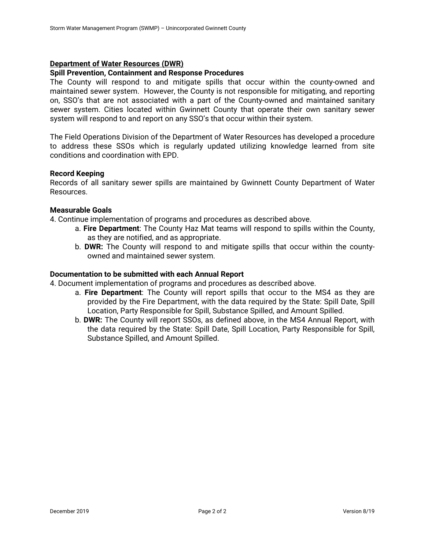### **Department of Water Resources (DWR)**

### **Spill Prevention, Containment and Response Procedures**

The County will respond to and mitigate spills that occur within the county-owned and maintained sewer system. However, the County is not responsible for mitigating, and reporting on, SSO's that are not associated with a part of the County-owned and maintained sanitary sewer system. Cities located within Gwinnett County that operate their own sanitary sewer system will respond to and report on any SSO's that occur within their system.

The Field Operations Division of the Department of Water Resources has developed a procedure to address these SSOs which is regularly updated utilizing knowledge learned from site conditions and coordination with EPD.

### **Record Keeping**

Records of all sanitary sewer spills are maintained by Gwinnett County Department of Water Resources.

## **Measurable Goals**

4. Continue implementation of programs and procedures as described above.

- a. **Fire Department**: The County Haz Mat teams will respond to spills within the County, as they are notified, and as appropriate.
- b. **DWR:** The County will respond to and mitigate spills that occur within the countyowned and maintained sewer system.

### **Documentation to be submitted with each Annual Report**

4. Document implementation of programs and procedures as described above.

- a. **Fire Department**: The County will report spills that occur to the MS4 as they are provided by the Fire Department, with the data required by the State: Spill Date, Spill Location, Party Responsible for Spill, Substance Spilled, and Amount Spilled.
- b. **DWR:** The County will report SSOs, as defined above, in the MS4 Annual Report, with the data required by the State: Spill Date, Spill Location, Party Responsible for Spill, Substance Spilled, and Amount Spilled.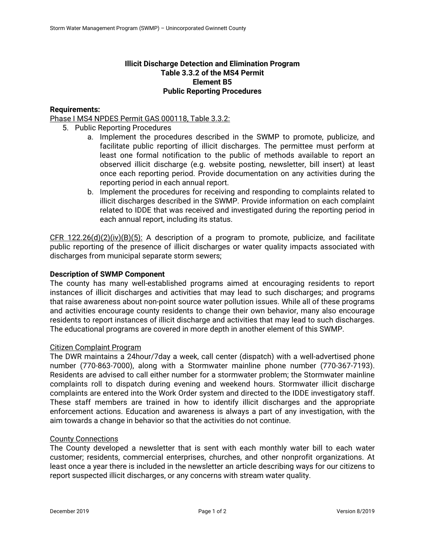# **Illicit Discharge Detection and Elimination Program Table 3.3.2 of the MS4 Permit Element B5 Public Reporting Procedures**

# **Requirements:**

# Phase I MS4 NPDES Permit GAS 000118, Table 3.3.2:

- 5. Public Reporting Procedures
	- a. Implement the procedures described in the SWMP to promote, publicize, and facilitate public reporting of illicit discharges. The permittee must perform at least one formal notification to the public of methods available to report an observed illicit discharge (e.g. website posting, newsletter, bill insert) at least once each reporting period. Provide documentation on any activities during the reporting period in each annual report.
	- b. Implement the procedures for receiving and responding to complaints related to illicit discharges described in the SWMP. Provide information on each complaint related to IDDE that was received and investigated during the reporting period in each annual report, including its status.

CFR 122.26(d)(2)(iv)(B)(5): A description of a program to promote, publicize, and facilitate public reporting of the presence of illicit discharges or water quality impacts associated with discharges from municipal separate storm sewers;

## **Description of SWMP Component**

The county has many well-established programs aimed at encouraging residents to report instances of illicit discharges and activities that may lead to such discharges; and programs that raise awareness about non-point source water pollution issues. While all of these programs and activities encourage county residents to change their own behavior, many also encourage residents to report instances of illicit discharge and activities that may lead to such discharges. The educational programs are covered in more depth in another element of this SWMP.

### Citizen Complaint Program

The DWR maintains a 24hour/7day a week, call center (dispatch) with a well-advertised phone number (770-863-7000), along with a Stormwater mainline phone number (770-367-7193). Residents are advised to call either number for a stormwater problem; the Stormwater mainline complaints roll to dispatch during evening and weekend hours. Stormwater illicit discharge complaints are entered into the Work Order system and directed to the IDDE investigatory staff. These staff members are trained in how to identify illicit discharges and the appropriate enforcement actions. Education and awareness is always a part of any investigation, with the aim towards a change in behavior so that the activities do not continue.

### County Connections

The County developed a newsletter that is sent with each monthly water bill to each water customer; residents, commercial enterprises, churches, and other nonprofit organizations. At least once a year there is included in the newsletter an article describing ways for our citizens to report suspected illicit discharges, or any concerns with stream water quality.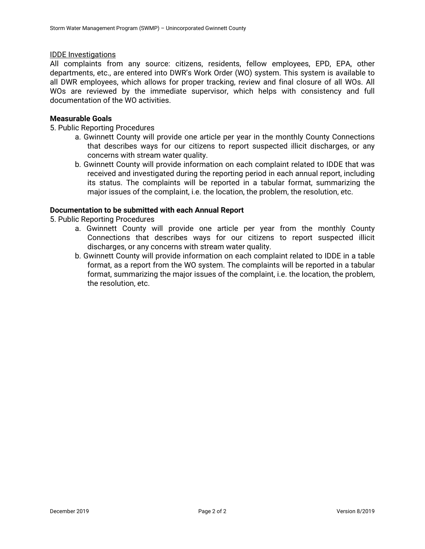### IDDE Investigations

All complaints from any source: citizens, residents, fellow employees, EPD, EPA, other departments, etc., are entered into DWR's Work Order (WO) system. This system is available to all DWR employees, which allows for proper tracking, review and final closure of all WOs. All WOs are reviewed by the immediate supervisor, which helps with consistency and full documentation of the WO activities.

## **Measurable Goals**

5. Public Reporting Procedures

- a. Gwinnett County will provide one article per year in the monthly County Connections that describes ways for our citizens to report suspected illicit discharges, or any concerns with stream water quality.
- b. Gwinnett County will provide information on each complaint related to IDDE that was received and investigated during the reporting period in each annual report, including its status. The complaints will be reported in a tabular format, summarizing the major issues of the complaint, i.e. the location, the problem, the resolution, etc.

### **Documentation to be submitted with each Annual Report**

- 5. Public Reporting Procedures
	- a. Gwinnett County will provide one article per year from the monthly County Connections that describes ways for our citizens to report suspected illicit discharges, or any concerns with stream water quality.
	- b. Gwinnett County will provide information on each complaint related to IDDE in a table format, as a report from the WO system. The complaints will be reported in a tabular format, summarizing the major issues of the complaint, i.e. the location, the problem, the resolution, etc.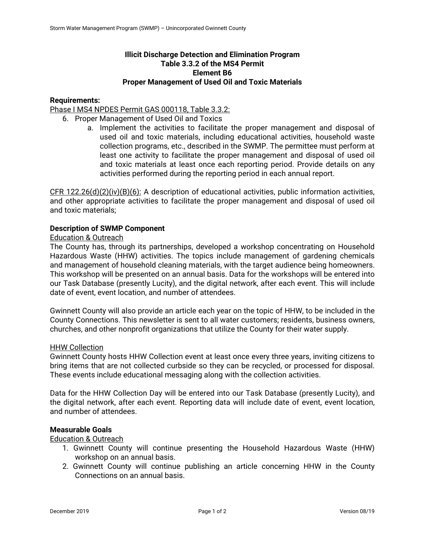# **Illicit Discharge Detection and Elimination Program Table 3.3.2 of the MS4 Permit Element B6 Proper Management of Used Oil and Toxic Materials**

## **Requirements:**

### Phase I MS4 NPDES Permit GAS 000118, Table 3.3.2:

- 6. Proper Management of Used Oil and Toxics
	- a. Implement the activities to facilitate the proper management and disposal of used oil and toxic materials, including educational activities, household waste collection programs, etc., described in the SWMP. The permittee must perform at least one activity to facilitate the proper management and disposal of used oil and toxic materials at least once each reporting period. Provide details on any activities performed during the reporting period in each annual report.

 $CFR 122.26(d)(2)(iv)(B)(6)$ : A description of educational activities, public information activities, and other appropriate activities to facilitate the proper management and disposal of used oil and toxic materials;

### **Description of SWMP Component**

## Education & Outreach

The County has, through its partnerships, developed a workshop concentrating on Household Hazardous Waste (HHW) activities. The topics include management of gardening chemicals and management of household cleaning materials, with the target audience being homeowners. This workshop will be presented on an annual basis. Data for the workshops will be entered into our Task Database (presently Lucity), and the digital network, after each event. This will include date of event, event location, and number of attendees.

Gwinnett County will also provide an article each year on the topic of HHW, to be included in the County Connections. This newsletter is sent to all water customers; residents, business owners, churches, and other nonprofit organizations that utilize the County for their water supply.

### HHW Collection

Gwinnett County hosts HHW Collection event at least once every three years, inviting citizens to bring items that are not collected curbside so they can be recycled, or processed for disposal. These events include educational messaging along with the collection activities.

Data for the HHW Collection Day will be entered into our Task Database (presently Lucity), and the digital network, after each event. Reporting data will include date of event, event location, and number of attendees.

### **Measurable Goals**

Education & Outreach

- 1. Gwinnett County will continue presenting the Household Hazardous Waste (HHW) workshop on an annual basis.
- 2. Gwinnett County will continue publishing an article concerning HHW in the County Connections on an annual basis.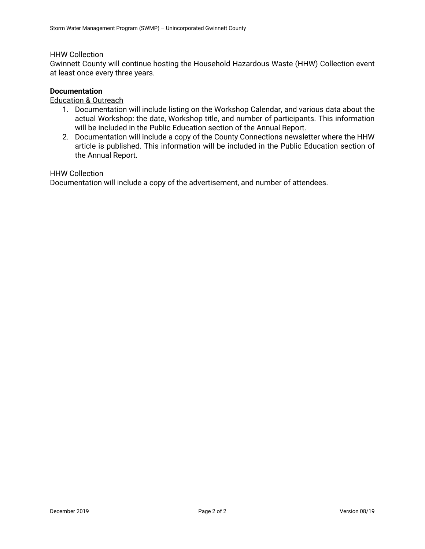### HHW Collection

Gwinnett County will continue hosting the Household Hazardous Waste (HHW) Collection event at least once every three years.

### **Documentation**

### Education & Outreach

- 1. Documentation will include listing on the Workshop Calendar, and various data about the actual Workshop: the date, Workshop title, and number of participants. This information will be included in the Public Education section of the Annual Report.
- 2. Documentation will include a copy of the County Connections newsletter where the HHW article is published. This information will be included in the Public Education section of the Annual Report.

### **HHW Collection**

Documentation will include a copy of the advertisement, and number of attendees.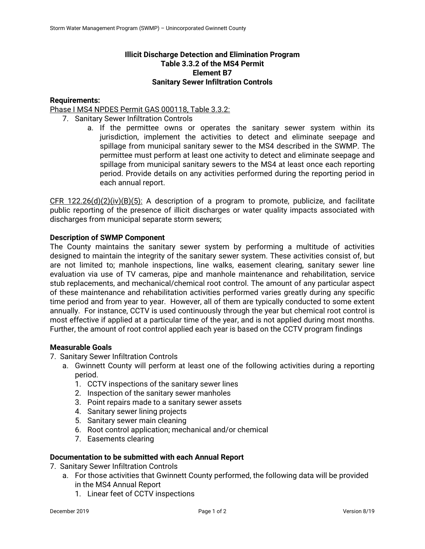# **Illicit Discharge Detection and Elimination Program Table 3.3.2 of the MS4 Permit Element B7 Sanitary Sewer Infiltration Controls**

# **Requirements:**

## Phase I MS4 NPDES Permit GAS 000118, Table 3.3.2:

- 7. Sanitary Sewer Infiltration Controls
	- a. If the permittee owns or operates the sanitary sewer system within its jurisdiction, implement the activities to detect and eliminate seepage and spillage from municipal sanitary sewer to the MS4 described in the SWMP. The permittee must perform at least one activity to detect and eliminate seepage and spillage from municipal sanitary sewers to the MS4 at least once each reporting period. Provide details on any activities performed during the reporting period in each annual report.

 $CFR$  122.26(d)(2)(iv)(B)(5): A description of a program to promote, publicize, and facilitate public reporting of the presence of illicit discharges or water quality impacts associated with discharges from municipal separate storm sewers;

## **Description of SWMP Component**

The County maintains the sanitary sewer system by performing a multitude of activities designed to maintain the integrity of the sanitary sewer system. These activities consist of, but are not limited to; manhole inspections, line walks, easement clearing, sanitary sewer line evaluation via use of TV cameras, pipe and manhole maintenance and rehabilitation, service stub replacements, and mechanical/chemical root control. The amount of any particular aspect of these maintenance and rehabilitation activities performed varies greatly during any specific time period and from year to year. However, all of them are typically conducted to some extent annually. For instance, CCTV is used continuously through the year but chemical root control is most effective if applied at a particular time of the year, and is not applied during most months. Further, the amount of root control applied each year is based on the CCTV program findings

### **Measurable Goals**

7. Sanitary Sewer Infiltration Controls

- a. Gwinnett County will perform at least one of the following activities during a reporting period.
	- 1. CCTV inspections of the sanitary sewer lines
	- 2. Inspection of the sanitary sewer manholes
	- 3. Point repairs made to a sanitary sewer assets
	- 4. Sanitary sewer lining projects
	- 5. Sanitary sewer main cleaning
	- 6. Root control application; mechanical and/or chemical
	- 7. Easements clearing

### **Documentation to be submitted with each Annual Report**

- 7. Sanitary Sewer Infiltration Controls
	- a. For those activities that Gwinnett County performed, the following data will be provided in the MS4 Annual Report
		- 1. Linear feet of CCTV inspections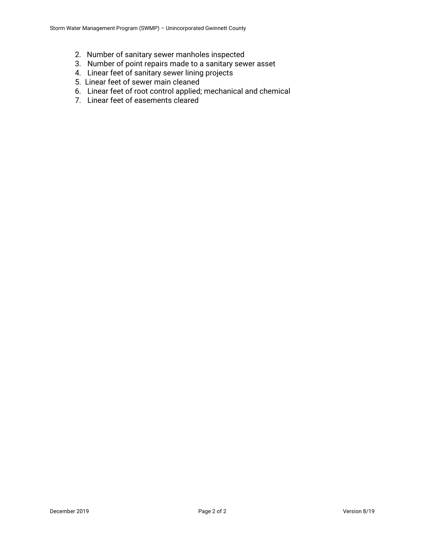- 2. Number of sanitary sewer manholes inspected
- 3. Number of point repairs made to a sanitary sewer asset
- 4. Linear feet of sanitary sewer lining projects
- 5. Linear feet of sewer main cleaned
- 6. Linear feet of root control applied; mechanical and chemical
- 7. Linear feet of easements cleared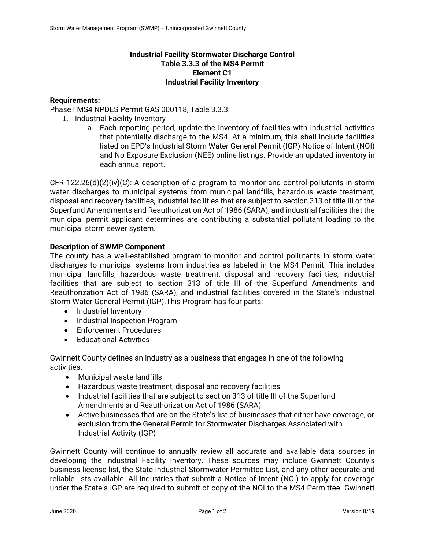# **Industrial Facility Stormwater Discharge Control Table 3.3.3 of the MS4 Permit Element C1 Industrial Facility Inventory**

# **Requirements:**

## Phase I MS4 NPDES Permit GAS 000118, Table 3.3.3:

- 1. Industrial Facility Inventory
	- a. Each reporting period, update the inventory of facilities with industrial activities that potentially discharge to the MS4. At a minimum, this shall include facilities listed on EPD's Industrial Storm Water General Permit (IGP) Notice of Intent (NOI) and No Exposure Exclusion (NEE) online listings. Provide an updated inventory in each annual report.

CFR 122.26(d)(2)(iv)(C): A description of a program to monitor and control pollutants in storm water discharges to municipal systems from municipal landfills, hazardous waste treatment, disposal and recovery facilities, industrial facilities that are subject to section 313 of title III of the Superfund Amendments and Reauthorization Act of 1986 (SARA), and industrial facilities that the municipal permit applicant determines are contributing a substantial pollutant loading to the municipal storm sewer system.

## **Description of SWMP Component**

The county has a well-established program to monitor and control pollutants in storm water discharges to municipal systems from industries as labeled in the MS4 Permit. This includes municipal landfills, hazardous waste treatment, disposal and recovery facilities, industrial facilities that are subject to section 313 of title III of the Superfund Amendments and Reauthorization Act of 1986 (SARA), and industrial facilities covered in the State's Industrial Storm Water General Permit (IGP).This Program has four parts:

- Industrial Inventory
- Industrial Inspection Program
- **•** Enforcement Procedures
- Educational Activities

Gwinnett County defines an industry as a business that engages in one of the following activities:

- Municipal waste landfills
- Hazardous waste treatment, disposal and recovery facilities
- Industrial facilities that are subject to section 313 of title III of the Superfund Amendments and Reauthorization Act of 1986 (SARA)
- Active businesses that are on the State's list of businesses that either have coverage, or exclusion from the General Permit for Stormwater Discharges Associated with Industrial Activity (IGP)

Gwinnett County will continue to annually review all accurate and available data sources in developing the Industrial Facility Inventory. These sources may include Gwinnett County's business license list, the State Industrial Stormwater Permittee List, and any other accurate and reliable lists available. All industries that submit a Notice of Intent (NOI) to apply for coverage under the State's IGP are required to submit of copy of the NOI to the MS4 Permittee. Gwinnett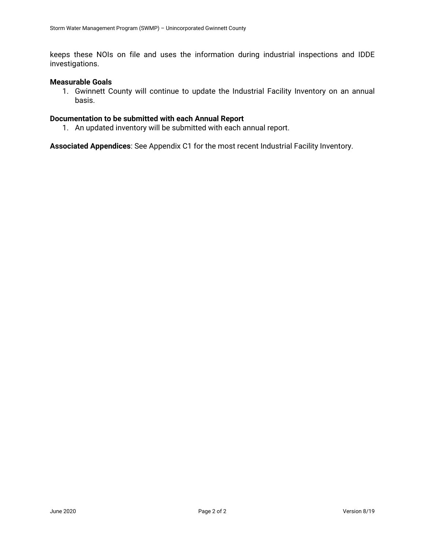keeps these NOIs on file and uses the information during industrial inspections and IDDE investigations.

### **Measurable Goals**

1. Gwinnett County will continue to update the Industrial Facility Inventory on an annual basis.

# **Documentation to be submitted with each Annual Report**

1. An updated inventory will be submitted with each annual report.

**Associated Appendices**: See Appendix C1 for the most recent Industrial Facility Inventory.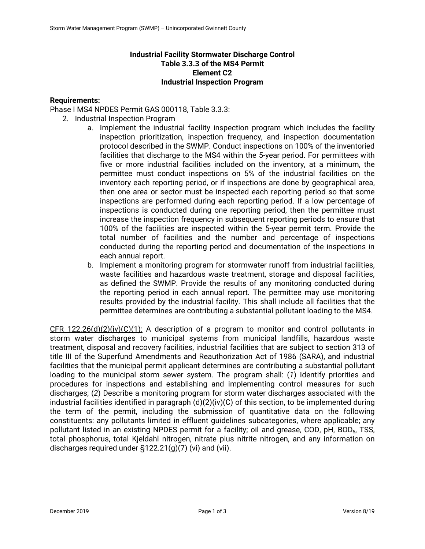# **Industrial Facility Stormwater Discharge Control Table 3.3.3 of the MS4 Permit Element C2 Industrial Inspection Program**

# **Requirements:**

### Phase I MS4 NPDES Permit GAS 000118, Table 3.3.3:

- 2. Industrial Inspection Program
	- a. Implement the industrial facility inspection program which includes the facility inspection prioritization, inspection frequency, and inspection documentation protocol described in the SWMP. Conduct inspections on 100% of the inventoried facilities that discharge to the MS4 within the 5-year period. For permittees with five or more industrial facilities included on the inventory, at a minimum, the permittee must conduct inspections on 5% of the industrial facilities on the inventory each reporting period, or if inspections are done by geographical area, then one area or sector must be inspected each reporting period so that some inspections are performed during each reporting period. If a low percentage of inspections is conducted during one reporting period, then the permittee must increase the inspection frequency in subsequent reporting periods to ensure that 100% of the facilities are inspected within the 5-year permit term. Provide the total number of facilities and the number and percentage of inspections conducted during the reporting period and documentation of the inspections in each annual report.
	- b. Implement a monitoring program for stormwater runoff from industrial facilities, waste facilities and hazardous waste treatment, storage and disposal facilities, as defined the SWMP. Provide the results of any monitoring conducted during the reporting period in each annual report. The permittee may use monitoring results provided by the industrial facility. This shall include all facilities that the permittee determines are contributing a substantial pollutant loading to the MS4.

CFR 122.26(d)(2)(iv)(C)(1): A description of a program to monitor and control pollutants in storm water discharges to municipal systems from municipal landfills, hazardous waste treatment, disposal and recovery facilities, industrial facilities that are subject to section 313 of title III of the Superfund Amendments and Reauthorization Act of 1986 (SARA), and industrial facilities that the municipal permit applicant determines are contributing a substantial pollutant loading to the municipal storm sewer system. The program shall: (*1*) Identify priorities and procedures for inspections and establishing and implementing control measures for such discharges; (*2*) Describe a monitoring program for storm water discharges associated with the industrial facilities identified in paragraph (d)(2)(iv)(C) of this section, to be implemented during the term of the permit, including the submission of quantitative data on the following constituents: any pollutants limited in effluent guidelines subcategories, where applicable; any pollutant listed in an existing NPDES permit for a facility; oil and grease, COD, pH, BOD<sub>5</sub>, TSS, total phosphorus, total Kjeldahl nitrogen, nitrate plus nitrite nitrogen, and any information on discharges required under §122.21(g)(7) (vi) and (vii).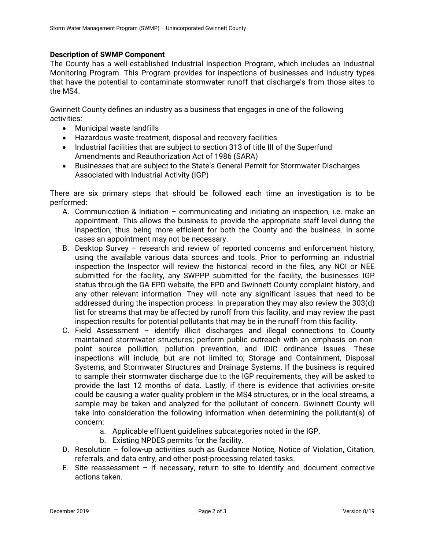### **Description of SWMP Component**

The County has a well-established Industrial Inspection Program, which includes an Industrial Monitoring Program. This Program provides for inspections of businesses and industry types that have the potential to contaminate stormwater runoff that discharge's from those sites to the MS4.

Gwinnett County defines an industry as a business that engages in one of the following activities:

- Municipal waste landfills
- Hazardous waste treatment, disposal and recovery facilities
- Industrial facilities that are subject to section 313 of title III of the Superfund Amendments and Reauthorization Act of 1986 (SARA)
- Businesses that are subject to the State's General Permit for Stormwater Discharges Associated with Industrial Activity (IGP)

There are six primary steps that should be followed each time an investigation is to be performed:

- A. Communication & Initiation communicating and initiating an inspection, i.e. make an appointment. This allows the business to provide the appropriate staff level during the inspection, thus being more efficient for both the County and the business. In some cases an appointment may not be necessary.
- B. Desktop Survey research and review of reported concerns and enforcement history, using the available various data sources and tools. Prior to performing an industrial inspection the Inspector will review the historical record in the files, any NOI or NEE submitted for the facility, any SWPPP submitted for the facility, the businesses IGP status through the GA EPD website, the EPD and Gwinnett County complaint history, and any other relevant information. They will note any significant issues that need to be addressed during the inspection process. In preparation they may also review the 303(d) list for streams that may be affected by runoff from this facility, and may review the past inspection results for potential pollutants that may be in the runoff from this facility.
- C. Field Assessment identify illicit discharges and illegal connections to County maintained stormwater structures; perform public outreach with an emphasis on nonpoint source pollution, pollution prevention, and IDIC ordinance issues. These inspections will include, but are not limited to; Storage and Containment, Disposal Systems, and Stormwater Structures and Drainage Systems. If the business is required to sample their stormwater discharge due to the IGP requirements, they will be asked to provide the last 12 months of data. Lastly, if there is evidence that activities on-site could be causing a water quality problem in the MS4 structures, or in the local streams, a sample may be taken and analyzed for the pollutant of concern. Gwinnett County will take into consideration the following information when determining the pollutant(s) of concern:
	- a. Applicable effluent guidelines subcategories noted in the IGP.
	- b. Existing NPDES permits for the facility.
- D. Resolution follow-up activities such as Guidance Notice, Notice of Violation, Citation, referrals, and data entry, and other post-processing related tasks.
- E. Site reassessment  $-$  if necessary, return to site to identify and document corrective actions taken.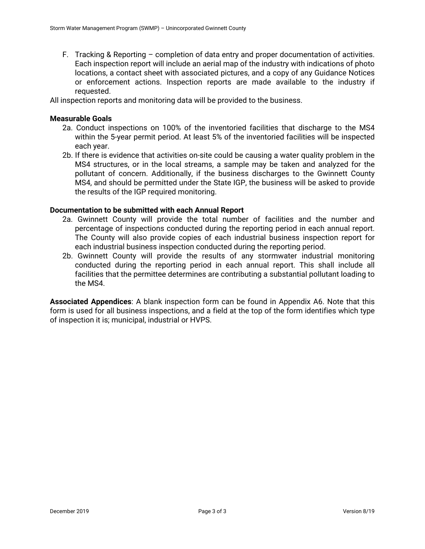F. Tracking & Reporting – completion of data entry and proper documentation of activities. Each inspection report will include an aerial map of the industry with indications of photo locations, a contact sheet with associated pictures, and a copy of any Guidance Notices or enforcement actions. Inspection reports are made available to the industry if requested.

All inspection reports and monitoring data will be provided to the business.

### **Measurable Goals**

- 2a. Conduct inspections on 100% of the inventoried facilities that discharge to the MS4 within the 5-year permit period. At least 5% of the inventoried facilities will be inspected each year.
- 2b. If there is evidence that activities on-site could be causing a water quality problem in the MS4 structures, or in the local streams, a sample may be taken and analyzed for the pollutant of concern. Additionally, if the business discharges to the Gwinnett County MS4, and should be permitted under the State IGP, the business will be asked to provide the results of the IGP required monitoring.

### **Documentation to be submitted with each Annual Report**

- 2a. Gwinnett County will provide the total number of facilities and the number and percentage of inspections conducted during the reporting period in each annual report. The County will also provide copies of each industrial business inspection report for each industrial business inspection conducted during the reporting period.
- 2b. Gwinnett County will provide the results of any stormwater industrial monitoring conducted during the reporting period in each annual report. This shall include all facilities that the permittee determines are contributing a substantial pollutant loading to the MS4.

**Associated Appendices**: A blank inspection form can be found in Appendix A6. Note that this form is used for all business inspections, and a field at the top of the form identifies which type of inspection it is; municipal, industrial or HVPS.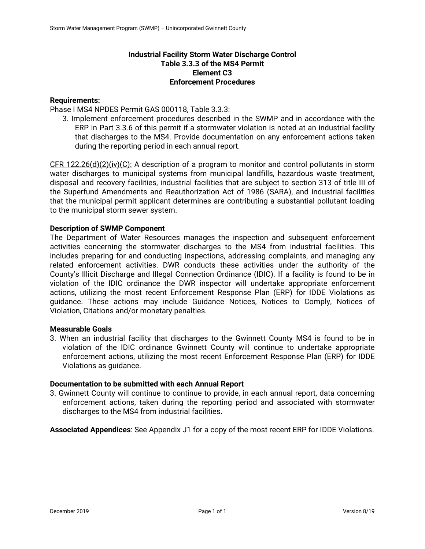# **Industrial Facility Storm Water Discharge Control Table 3.3.3 of the MS4 Permit Element C3 Enforcement Procedures**

### **Requirements:**

Phase I MS4 NPDES Permit GAS 000118, Table 3.3.3:

3. Implement enforcement procedures described in the SWMP and in accordance with the ERP in Part 3.3.6 of this permit if a stormwater violation is noted at an industrial facility that discharges to the MS4. Provide documentation on any enforcement actions taken during the reporting period in each annual report.

CFR 122.26(d)(2)(iv)(C): A description of a program to monitor and control pollutants in storm water discharges to municipal systems from municipal landfills, hazardous waste treatment, disposal and recovery facilities, industrial facilities that are subject to section 313 of title III of the Superfund Amendments and Reauthorization Act of 1986 (SARA), and industrial facilities that the municipal permit applicant determines are contributing a substantial pollutant loading to the municipal storm sewer system.

### **Description of SWMP Component**

The Department of Water Resources manages the inspection and subsequent enforcement activities concerning the stormwater discharges to the MS4 from industrial facilities. This includes preparing for and conducting inspections, addressing complaints, and managing any related enforcement activities. DWR conducts these activities under the authority of the County's Illicit Discharge and Illegal Connection Ordinance (IDIC). If a facility is found to be in violation of the IDIC ordinance the DWR inspector will undertake appropriate enforcement actions, utilizing the most recent Enforcement Response Plan (ERP) for IDDE Violations as guidance. These actions may include Guidance Notices, Notices to Comply, Notices of Violation, Citations and/or monetary penalties.

### **Measurable Goals**

3. When an industrial facility that discharges to the Gwinnett County MS4 is found to be in violation of the IDIC ordinance Gwinnett County will continue to undertake appropriate enforcement actions, utilizing the most recent Enforcement Response Plan (ERP) for IDDE Violations as guidance.

### **Documentation to be submitted with each Annual Report**

3. Gwinnett County will continue to continue to provide, in each annual report, data concerning enforcement actions, taken during the reporting period and associated with stormwater discharges to the MS4 from industrial facilities.

**Associated Appendices**: See Appendix J1 for a copy of the most recent ERP for IDDE Violations.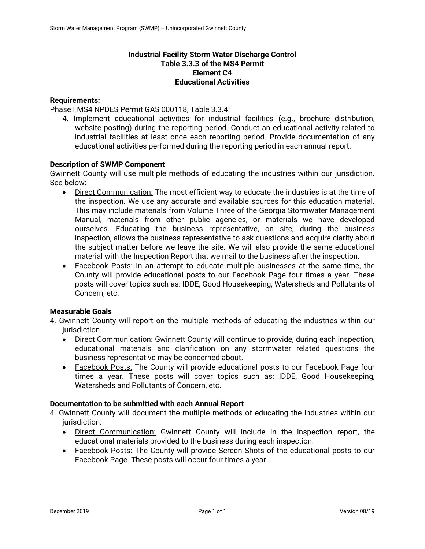# **Industrial Facility Storm Water Discharge Control Table 3.3.3 of the MS4 Permit Element C4 Educational Activities**

### **Requirements:**

Phase I MS4 NPDES Permit GAS 000118, Table 3.3.4:

4. Implement educational activities for industrial facilities (e.g., brochure distribution, website posting) during the reporting period. Conduct an educational activity related to industrial facilities at least once each reporting period. Provide documentation of any educational activities performed during the reporting period in each annual report.

### **Description of SWMP Component**

Gwinnett County will use multiple methods of educating the industries within our jurisdiction. See below:

- Direct Communication: The most efficient way to educate the industries is at the time of the inspection. We use any accurate and available sources for this education material. This may include materials from Volume Three of the Georgia Stormwater Management Manual, materials from other public agencies, or materials we have developed ourselves. Educating the business representative, on site, during the business inspection, allows the business representative to ask questions and acquire clarity about the subject matter before we leave the site. We will also provide the same educational material with the Inspection Report that we mail to the business after the inspection.
- Facebook Posts: In an attempt to educate multiple businesses at the same time, the County will provide educational posts to our Facebook Page four times a year. These posts will cover topics such as: IDDE, Good Housekeeping, Watersheds and Pollutants of Concern, etc.

### **Measurable Goals**

- 4. Gwinnett County will report on the multiple methods of educating the industries within our jurisdiction.
	- Direct Communication: Gwinnett County will continue to provide, during each inspection, educational materials and clarification on any stormwater related questions the business representative may be concerned about.
	- Facebook Posts: The County will provide educational posts to our Facebook Page four times a year. These posts will cover topics such as: IDDE, Good Housekeeping, Watersheds and Pollutants of Concern, etc.

### **Documentation to be submitted with each Annual Report**

- 4. Gwinnett County will document the multiple methods of educating the industries within our jurisdiction.
	- Direct Communication: Gwinnett County will include in the inspection report, the educational materials provided to the business during each inspection.
	- Facebook Posts: The County will provide Screen Shots of the educational posts to our Facebook Page. These posts will occur four times a year.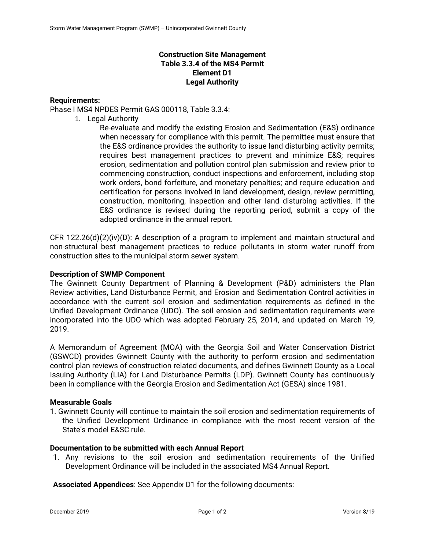# **Construction Site Management Table 3.3.4 of the MS4 Permit Element D1 Legal Authority**

# **Requirements:**

Phase I MS4 NPDES Permit GAS 000118, Table 3.3.4:

1. Legal Authority

Re-evaluate and modify the existing Erosion and Sedimentation (E&S) ordinance when necessary for compliance with this permit. The permittee must ensure that the E&S ordinance provides the authority to issue land disturbing activity permits; requires best management practices to prevent and minimize E&S; requires erosion, sedimentation and pollution control plan submission and review prior to commencing construction, conduct inspections and enforcement, including stop work orders, bond forfeiture, and monetary penalties; and require education and certification for persons involved in land development, design, review permitting, construction, monitoring, inspection and other land disturbing activities. If the E&S ordinance is revised during the reporting period, submit a copy of the adopted ordinance in the annual report.

CFR 122.26(d)(2)(iv)(D): A description of a program to implement and maintain structural and non-structural best management practices to reduce pollutants in storm water runoff from construction sites to the municipal storm sewer system.

### **Description of SWMP Component**

The Gwinnett County Department of Planning & Development (P&D) administers the Plan Review activities, Land Disturbance Permit, and Erosion and Sedimentation Control activities in accordance with the current soil erosion and sedimentation requirements as defined in the Unified Development Ordinance (UDO). The soil erosion and sedimentation requirements were incorporated into the UDO which was adopted February 25, 2014, and updated on March 19, 2019.

A Memorandum of Agreement (MOA) with the Georgia Soil and Water Conservation District (GSWCD) provides Gwinnett County with the authority to perform erosion and sedimentation control plan reviews of construction related documents, and defines Gwinnett County as a Local Issuing Authority (LIA) for Land Disturbance Permits (LDP). Gwinnett County has continuously been in compliance with the Georgia Erosion and Sedimentation Act (GESA) since 1981.

# **Measurable Goals**

1. Gwinnett County will continue to maintain the soil erosion and sedimentation requirements of the Unified Development Ordinance in compliance with the most recent version of the State's model E&SC rule.

# **Documentation to be submitted with each Annual Report**

1. Any revisions to the soil erosion and sedimentation requirements of the Unified Development Ordinance will be included in the associated MS4 Annual Report.

**Associated Appendices**: See Appendix D1 for the following documents: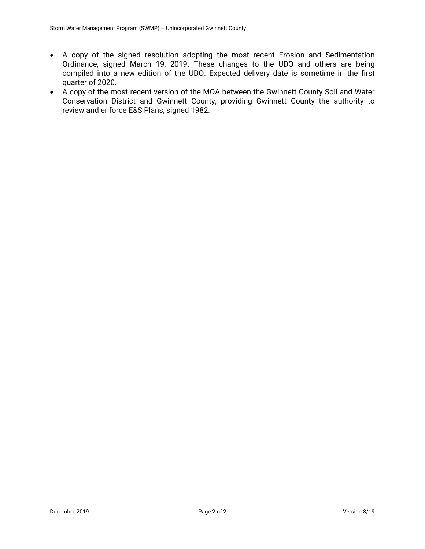- A copy of the signed resolution adopting the most recent Erosion and Sedimentation Ordinance, signed March 19, 2019. These changes to the UDO and others are being compiled into a new edition of the UDO. Expected delivery date is sometime in the first quarter of 2020.
- A copy of the most recent version of the MOA between the Gwinnett County Soil and Water Conservation District and Gwinnett County, providing Gwinnett County the authority to review and enforce E&S Plans, signed 1982.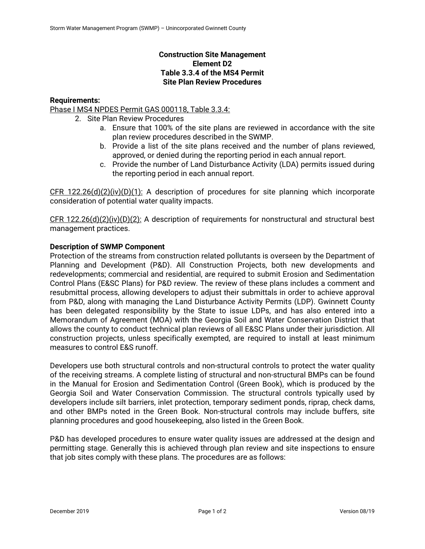# **Construction Site Management Element D2 Table 3.3.4 of the MS4 Permit Site Plan Review Procedures**

# **Requirements:**

Phase I MS4 NPDES Permit GAS 000118, Table 3.3.4:

- 2. Site Plan Review Procedures
	- a. Ensure that 100% of the site plans are reviewed in accordance with the site plan review procedures described in the SWMP.
	- b. Provide a list of the site plans received and the number of plans reviewed, approved, or denied during the reporting period in each annual report.
	- c. Provide the number of Land Disturbance Activity (LDA) permits issued during the reporting period in each annual report.

CFR 122.26(d)(2)(iv)(D)(1): A description of procedures for site planning which incorporate consideration of potential water quality impacts.

 $CFR$  122.26(d)(2)(iv)(D)(2): A description of requirements for nonstructural and structural best management practices.

### **Description of SWMP Component**

Protection of the streams from construction related pollutants is overseen by the Department of Planning and Development (P&D). All Construction Projects, both new developments and redevelopments; commercial and residential, are required to submit Erosion and Sedimentation Control Plans (E&SC Plans) for P&D review. The review of these plans includes a comment and resubmittal process, allowing developers to adjust their submittals in order to achieve approval from P&D, along with managing the Land Disturbance Activity Permits (LDP). Gwinnett County has been delegated responsibility by the State to issue LDPs, and has also entered into a Memorandum of Agreement (MOA) with the Georgia Soil and Water Conservation District that allows the county to conduct technical plan reviews of all E&SC Plans under their jurisdiction. All construction projects, unless specifically exempted, are required to install at least minimum measures to control E&S runoff.

Developers use both structural controls and non-structural controls to protect the water quality of the receiving streams. A complete listing of structural and non-structural BMPs can be found in the Manual for Erosion and Sedimentation Control (Green Book), which is produced by the Georgia Soil and Water Conservation Commission. The structural controls typically used by developers include silt barriers, inlet protection, temporary sediment ponds, riprap, check dams, and other BMPs noted in the Green Book. Non-structural controls may include buffers, site planning procedures and good housekeeping, also listed in the Green Book.

P&D has developed procedures to ensure water quality issues are addressed at the design and permitting stage. Generally this is achieved through plan review and site inspections to ensure that job sites comply with these plans. The procedures are as follows: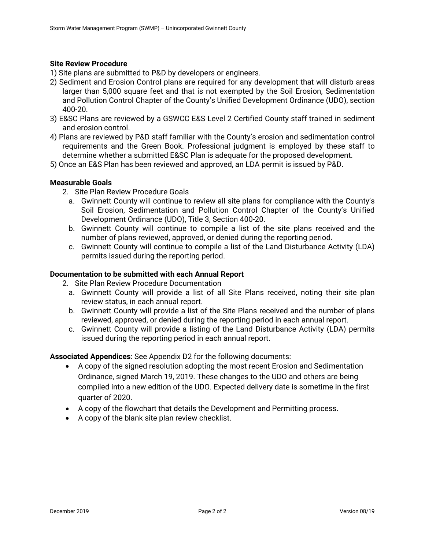### **Site Review Procedure**

- 1) Site plans are submitted to P&D by developers or engineers.
- 2) Sediment and Erosion Control plans are required for any development that will disturb areas larger than 5,000 square feet and that is not exempted by the Soil Erosion, Sedimentation and Pollution Control Chapter of the County's Unified Development Ordinance (UDO), section 400-20.
- 3) E&SC Plans are reviewed by a GSWCC E&S Level 2 Certified County staff trained in sediment and erosion control.
- 4) Plans are reviewed by P&D staff familiar with the County's erosion and sedimentation control requirements and the Green Book. Professional judgment is employed by these staff to determine whether a submitted E&SC Plan is adequate for the proposed development.
- 5) Once an E&S Plan has been reviewed and approved, an LDA permit is issued by P&D.

### **Measurable Goals**

- 2. Site Plan Review Procedure Goals
	- a. Gwinnett County will continue to review all site plans for compliance with the County's Soil Erosion, Sedimentation and Pollution Control Chapter of the County's Unified Development Ordinance (UDO), Title 3, Section 400-20.
	- b. Gwinnett County will continue to compile a list of the site plans received and the number of plans reviewed, approved, or denied during the reporting period.
	- c. Gwinnett County will continue to compile a list of the Land Disturbance Activity (LDA) permits issued during the reporting period.

### **Documentation to be submitted with each Annual Report**

2. Site Plan Review Procedure Documentation

- a. Gwinnett County will provide a list of all Site Plans received, noting their site plan review status, in each annual report.
- b. Gwinnett County will provide a list of the Site Plans received and the number of plans reviewed, approved, or denied during the reporting period in each annual report.
- c. Gwinnett County will provide a listing of the Land Disturbance Activity (LDA) permits issued during the reporting period in each annual report.

**Associated Appendices**: See Appendix D2 for the following documents:

- A copy of the signed resolution adopting the most recent Erosion and Sedimentation Ordinance, signed March 19, 2019. These changes to the UDO and others are being compiled into a new edition of the UDO. Expected delivery date is sometime in the first quarter of 2020.
- A copy of the flowchart that details the Development and Permitting process.
- A copy of the blank site plan review checklist.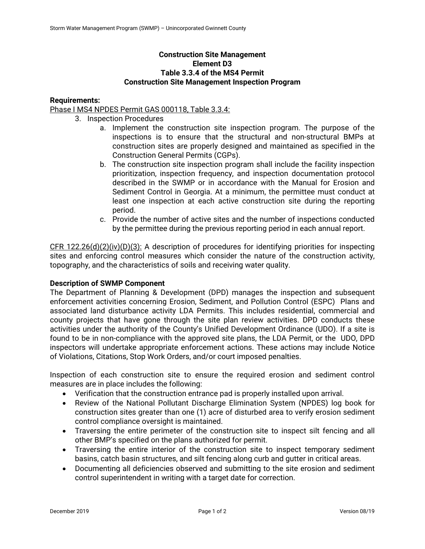# **Construction Site Management Element D3 Table 3.3.4 of the MS4 Permit Construction Site Management Inspection Program**

### **Requirements:**

# Phase I MS4 NPDES Permit GAS 000118, Table 3.3.4:

- 3. Inspection Procedures
	- a. Implement the construction site inspection program. The purpose of the inspections is to ensure that the structural and non-structural BMPs at construction sites are properly designed and maintained as specified in the Construction General Permits (CGPs).
	- b. The construction site inspection program shall include the facility inspection prioritization, inspection frequency, and inspection documentation protocol described in the SWMP or in accordance with the Manual for Erosion and Sediment Control in Georgia. At a minimum, the permittee must conduct at least one inspection at each active construction site during the reporting period.
	- c. Provide the number of active sites and the number of inspections conducted by the permittee during the previous reporting period in each annual report.

 $CFR$  122.26(d)(2)(iv)(D)(3): A description of procedures for identifying priorities for inspecting sites and enforcing control measures which consider the nature of the construction activity, topography, and the characteristics of soils and receiving water quality.

### **Description of SWMP Component**

The Department of Planning & Development (DPD) manages the inspection and subsequent enforcement activities concerning Erosion, Sediment, and Pollution Control (ESPC) Plans and associated land disturbance activity LDA Permits. This includes residential, commercial and county projects that have gone through the site plan review activities. DPD conducts these activities under the authority of the County's Unified Development Ordinance (UDO). If a site is found to be in non-compliance with the approved site plans, the LDA Permit, or the UDO, DPD inspectors will undertake appropriate enforcement actions. These actions may include Notice of Violations, Citations, Stop Work Orders, and/or court imposed penalties.

Inspection of each construction site to ensure the required erosion and sediment control measures are in place includes the following:

- Verification that the construction entrance pad is properly installed upon arrival.
- Review of the National Pollutant Discharge Elimination System (NPDES) log book for construction sites greater than one (1) acre of disturbed area to verify erosion sediment control compliance oversight is maintained.
- Traversing the entire perimeter of the construction site to inspect silt fencing and all other BMP's specified on the plans authorized for permit.
- Traversing the entire interior of the construction site to inspect temporary sediment basins, catch basin structures, and silt fencing along curb and gutter in critical areas.
- Documenting all deficiencies observed and submitting to the site erosion and sediment control superintendent in writing with a target date for correction.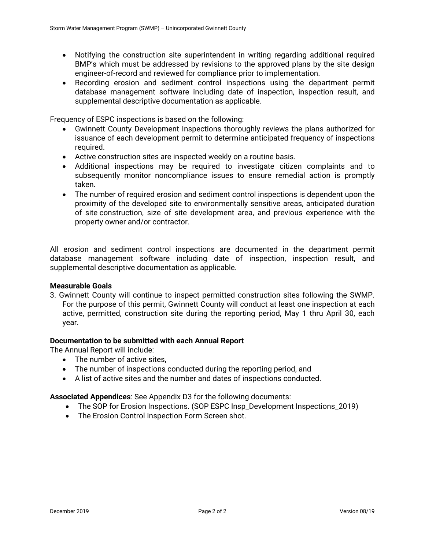- Notifying the construction site superintendent in writing regarding additional required BMP's which must be addressed by revisions to the approved plans by the site design engineer-of-record and reviewed for compliance prior to implementation.
- Recording erosion and sediment control inspections using the department permit database management software including date of inspection, inspection result, and supplemental descriptive documentation as applicable.

Frequency of ESPC inspections is based on the following:

- Gwinnett County Development Inspections thoroughly reviews the plans authorized for issuance of each development permit to determine anticipated frequency of inspections required.
- Active construction sites are inspected weekly on a routine basis.
- Additional inspections may be required to investigate citizen complaints and to subsequently monitor noncompliance issues to ensure remedial action is promptly taken.
- The number of required erosion and sediment control inspections is dependent upon the proximity of the developed site to environmentally sensitive areas, anticipated duration of site construction, size of site development area, and previous experience with the property owner and/or contractor.

All erosion and sediment control inspections are documented in the department permit database management software including date of inspection, inspection result, and supplemental descriptive documentation as applicable.

### **Measurable Goals**

3. Gwinnett County will continue to inspect permitted construction sites following the SWMP. For the purpose of this permit, Gwinnett County will conduct at least one inspection at each active, permitted, construction site during the reporting period, May 1 thru April 30, each year.

### **Documentation to be submitted with each Annual Report**

The Annual Report will include:

- The number of active sites.
- The number of inspections conducted during the reporting period, and
- A list of active sites and the number and dates of inspections conducted.

**Associated Appendices**: See Appendix D3 for the following documents:

- The SOP for Erosion Inspections. (SOP ESPC Insp\_Development Inspections\_2019)
- The Erosion Control Inspection Form Screen shot.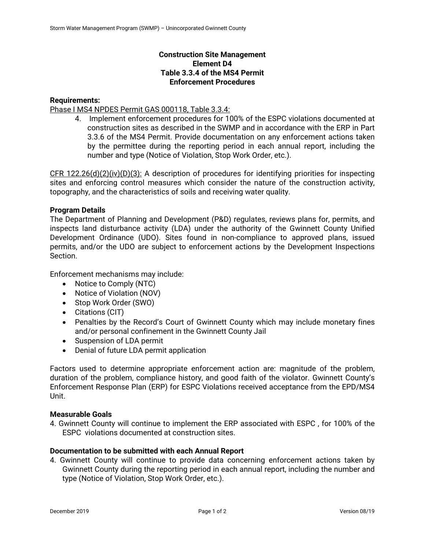# **Construction Site Management Element D4 Table 3.3.4 of the MS4 Permit Enforcement Procedures**

# **Requirements:**

Phase I MS4 NPDES Permit GAS 000118, Table 3.3.4:

4. Implement enforcement procedures for 100% of the ESPC violations documented at construction sites as described in the SWMP and in accordance with the ERP in Part 3.3.6 of the MS4 Permit. Provide documentation on any enforcement actions taken by the permittee during the reporting period in each annual report, including the number and type (Notice of Violation, Stop Work Order, etc.).

CFR 122.26(d)(2)(iv)(D)(3): A description of procedures for identifying priorities for inspecting sites and enforcing control measures which consider the nature of the construction activity, topography, and the characteristics of soils and receiving water quality.

# **Program Details**

The Department of Planning and Development (P&D) regulates, reviews plans for, permits, and inspects land disturbance activity (LDA) under the authority of the Gwinnett County Unified Development Ordinance (UDO). Sites found in non-compliance to approved plans, issued permits, and/or the UDO are subject to enforcement actions by the Development Inspections Section.

Enforcement mechanisms may include:

- Notice to Comply (NTC)
- Notice of Violation (NOV)
- Stop Work Order (SWO)
- Citations (CIT)
- Penalties by the Record's Court of Gwinnett County which may include monetary fines and/or personal confinement in the Gwinnett County Jail
- Suspension of LDA permit
- Denial of future LDA permit application

Factors used to determine appropriate enforcement action are: magnitude of the problem, duration of the problem, compliance history, and good faith of the violator. Gwinnett County's Enforcement Response Plan (ERP) for ESPC Violations received acceptance from the EPD/MS4 Unit.

### **Measurable Goals**

4. Gwinnett County will continue to implement the ERP associated with ESPC , for 100% of the ESPC violations documented at construction sites.

### **Documentation to be submitted with each Annual Report**

4. Gwinnett County will continue to provide data concerning enforcement actions taken by Gwinnett County during the reporting period in each annual report, including the number and type (Notice of Violation, Stop Work Order, etc.).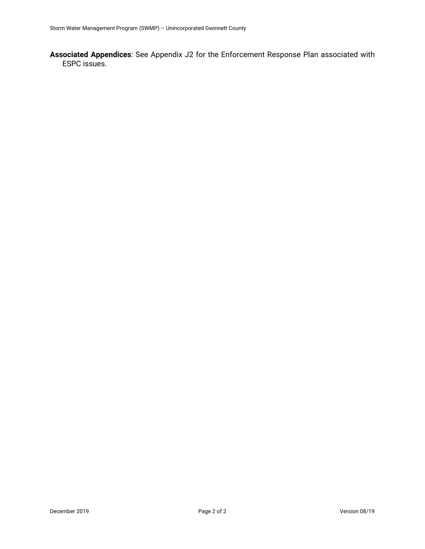**Associated Appendices**: See Appendix J2 for the Enforcement Response Plan associated with ESPC issues.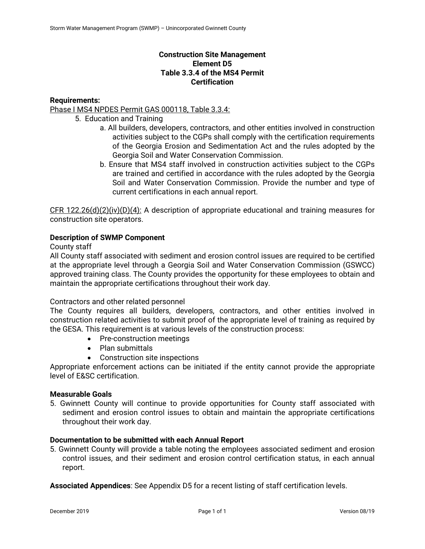# **Construction Site Management Element D5 Table 3.3.4 of the MS4 Permit Certification**

# **Requirements:**

Phase I MS4 NPDES Permit GAS 000118, Table 3.3.4:

- 5. Education and Training
	- a. All builders, developers, contractors, and other entities involved in construction activities subject to the CGPs shall comply with the certification requirements of the Georgia Erosion and Sedimentation Act and the rules adopted by the Georgia Soil and Water Conservation Commission.
	- b. Ensure that MS4 staff involved in construction activities subject to the CGPs are trained and certified in accordance with the rules adopted by the Georgia Soil and Water Conservation Commission. Provide the number and type of current certifications in each annual report.

CFR 122.26(d)(2)(iv)(D)(4): A description of appropriate educational and training measures for construction site operators.

### **Description of SWMP Component**

### County staff

All County staff associated with sediment and erosion control issues are required to be certified at the appropriate level through a Georgia Soil and Water Conservation Commission (GSWCC) approved training class. The County provides the opportunity for these employees to obtain and maintain the appropriate certifications throughout their work day.

### Contractors and other related personnel

The County requires all builders, developers, contractors, and other entities involved in construction related activities to submit proof of the appropriate level of training as required by the GESA. This requirement is at various levels of the construction process:

- Pre-construction meetings
- Plan submittals
- Construction site inspections

Appropriate enforcement actions can be initiated if the entity cannot provide the appropriate level of E&SC certification.

### **Measurable Goals**

5. Gwinnett County will continue to provide opportunities for County staff associated with sediment and erosion control issues to obtain and maintain the appropriate certifications throughout their work day.

### **Documentation to be submitted with each Annual Report**

5. Gwinnett County will provide a table noting the employees associated sediment and erosion control issues, and their sediment and erosion control certification status, in each annual report.

**Associated Appendices**: See Appendix D5 for a recent listing of staff certification levels.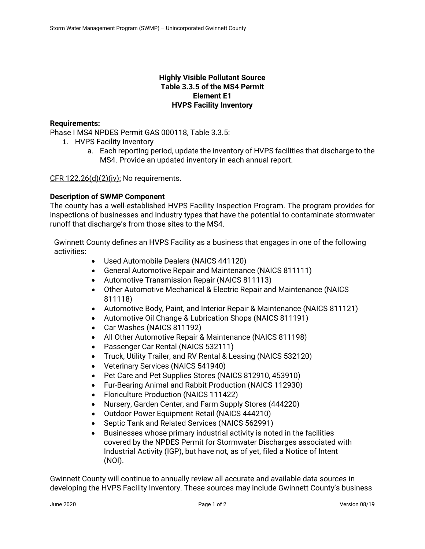# **Highly Visible Pollutant Source Table 3.3.5 of the MS4 Permit Element E1 HVPS Facility Inventory**

# **Requirements:**

Phase I MS4 NPDES Permit GAS 000118, Table 3.3.5:

- 1. HVPS Facility Inventory
	- a. Each reporting period, update the inventory of HVPS facilities that discharge to the MS4. Provide an updated inventory in each annual report.

 $CFR$  122.26(d)(2)(iv): No requirements.

### **Description of SWMP Component**

The county has a well-established HVPS Facility Inspection Program. The program provides for inspections of businesses and industry types that have the potential to contaminate stormwater runoff that discharge's from those sites to the MS4.

Gwinnett County defines an HVPS Facility as a business that engages in one of the following activities:

- Used Automobile Dealers (NAICS 441120)
- General Automotive Repair and Maintenance (NAICS 811111)
- Automotive Transmission Repair (NAICS 811113)
- Other Automotive Mechanical & Electric Repair and Maintenance (NAICS 811118)
- Automotive Body, Paint, and Interior Repair & Maintenance (NAICS 811121)
- Automotive Oil Change & Lubrication Shops (NAICS 811191)
- Car Washes (NAICS 811192)
- All Other Automotive Repair & Maintenance (NAICS 811198)
- Passenger Car Rental (NAICS 532111)
- Truck, Utility Trailer, and RV Rental & Leasing (NAICS 532120)
- Veterinary Services (NAICS 541940)
- Pet Care and Pet Supplies Stores (NAICS 812910, 453910)
- Fur-Bearing Animal and Rabbit Production (NAICS 112930)
- Floriculture Production (NAICS 111422)
- Nursery, Garden Center, and Farm Supply Stores (444220)
- Outdoor Power Equipment Retail (NAICS 444210)
- Septic Tank and Related Services (NAICS 562991)
- Businesses whose primary industrial activity is noted in the facilities covered by the NPDES Permit for Stormwater Discharges associated with Industrial Activity (IGP), but have not, as of yet, filed a Notice of Intent (NOI).

Gwinnett County will continue to annually review all accurate and available data sources in developing the HVPS Facility Inventory. These sources may include Gwinnett County's business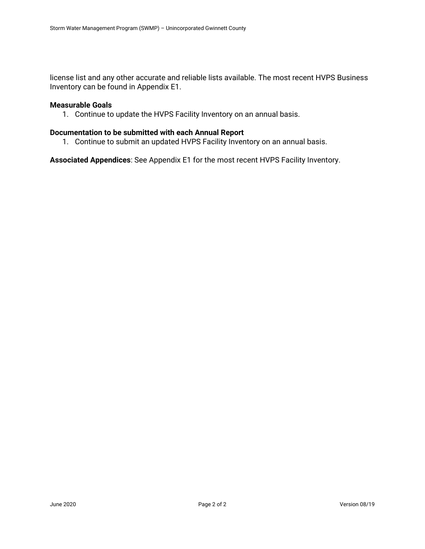license list and any other accurate and reliable lists available. The most recent HVPS Business Inventory can be found in Appendix E1.

#### **Measurable Goals**

1. Continue to update the HVPS Facility Inventory on an annual basis.

### **Documentation to be submitted with each Annual Report**

1. Continue to submit an updated HVPS Facility Inventory on an annual basis.

**Associated Appendices**: See Appendix E1 for the most recent HVPS Facility Inventory.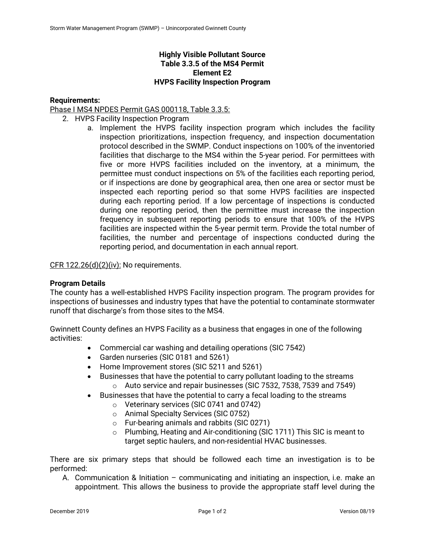# **Highly Visible Pollutant Source Table 3.3.5 of the MS4 Permit Element E2 HVPS Facility Inspection Program**

# **Requirements:**

Phase I MS4 NPDES Permit GAS 000118, Table 3.3.5:

- 2. HVPS Facility Inspection Program
	- a. Implement the HVPS facility inspection program which includes the facility inspection prioritizations, inspection frequency, and inspection documentation protocol described in the SWMP. Conduct inspections on 100% of the inventoried facilities that discharge to the MS4 within the 5-year period. For permittees with five or more HVPS facilities included on the inventory, at a minimum, the permittee must conduct inspections on 5% of the facilities each reporting period, or if inspections are done by geographical area, then one area or sector must be inspected each reporting period so that some HVPS facilities are inspected during each reporting period. If a low percentage of inspections is conducted during one reporting period, then the permittee must increase the inspection frequency in subsequent reporting periods to ensure that 100% of the HVPS facilities are inspected within the 5-year permit term. Provide the total number of facilities, the number and percentage of inspections conducted during the reporting period, and documentation in each annual report.

CFR  $122.26(d)(2)(iv)$ : No requirements.

### **Program Details**

The county has a well-established HVPS Facility inspection program. The program provides for inspections of businesses and industry types that have the potential to contaminate stormwater runoff that discharge's from those sites to the MS4.

Gwinnett County defines an HVPS Facility as a business that engages in one of the following activities:

- Commercial car washing and detailing operations (SIC 7542)
- Garden nurseries (SIC 0181 and 5261)
- Home Improvement stores (SIC 5211 and 5261)
- Businesses that have the potential to carry pollutant loading to the streams o Auto service and repair businesses (SIC 7532, 7538, 7539 and 7549)
- Businesses that have the potential to carry a fecal loading to the streams
	- o Veterinary services (SIC 0741 and 0742)
	- o Animal Specialty Services (SIC 0752)
	- o Fur-bearing animals and rabbits (SIC 0271)
	- o Plumbing, Heating and Air-conditioning (SIC 1711) This SIC is meant to target septic haulers, and non-residential HVAC businesses.

There are six primary steps that should be followed each time an investigation is to be performed:

A. Communication & Initiation – communicating and initiating an inspection, i.e. make an appointment. This allows the business to provide the appropriate staff level during the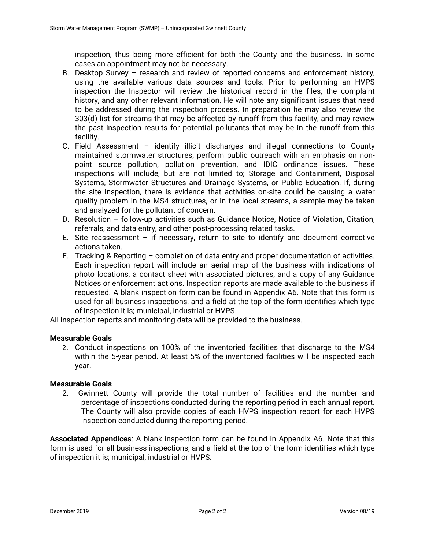inspection, thus being more efficient for both the County and the business. In some cases an appointment may not be necessary.

- B. Desktop Survey research and review of reported concerns and enforcement history, using the available various data sources and tools. Prior to performing an HVPS inspection the Inspector will review the historical record in the files, the complaint history, and any other relevant information. He will note any significant issues that need to be addressed during the inspection process. In preparation he may also review the 303(d) list for streams that may be affected by runoff from this facility, and may review the past inspection results for potential pollutants that may be in the runoff from this facility.
- C. Field Assessment identify illicit discharges and illegal connections to County maintained stormwater structures; perform public outreach with an emphasis on nonpoint source pollution, pollution prevention, and IDIC ordinance issues. These inspections will include, but are not limited to; Storage and Containment, Disposal Systems, Stormwater Structures and Drainage Systems, or Public Education. If, during the site inspection, there is evidence that activities on-site could be causing a water quality problem in the MS4 structures, or in the local streams, a sample may be taken and analyzed for the pollutant of concern.
- D. Resolution follow-up activities such as Guidance Notice, Notice of Violation, Citation, referrals, and data entry, and other post-processing related tasks.
- E. Site reassessment  $-$  if necessary, return to site to identify and document corrective actions taken.
- F. Tracking & Reporting completion of data entry and proper documentation of activities. Each inspection report will include an aerial map of the business with indications of photo locations, a contact sheet with associated pictures, and a copy of any Guidance Notices or enforcement actions. Inspection reports are made available to the business if requested. A blank inspection form can be found in Appendix A6. Note that this form is used for all business inspections, and a field at the top of the form identifies which type of inspection it is; municipal, industrial or HVPS.

All inspection reports and monitoring data will be provided to the business.

# **Measurable Goals**

2. Conduct inspections on 100% of the inventoried facilities that discharge to the MS4 within the 5-year period. At least 5% of the inventoried facilities will be inspected each year.

# **Measurable Goals**

2. Gwinnett County will provide the total number of facilities and the number and percentage of inspections conducted during the reporting period in each annual report. The County will also provide copies of each HVPS inspection report for each HVPS inspection conducted during the reporting period.

**Associated Appendices**: A blank inspection form can be found in Appendix A6. Note that this form is used for all business inspections, and a field at the top of the form identifies which type of inspection it is; municipal, industrial or HVPS.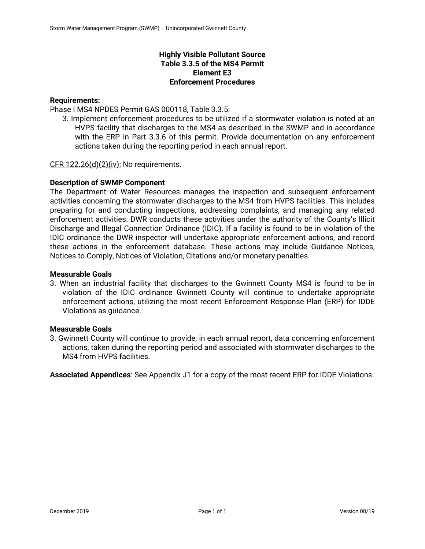# **Highly Visible Pollutant Source Table 3.3.5 of the MS4 Permit Element E3 Enforcement Procedures**

# **Requirements:**

Phase I MS4 NPDES Permit GAS 000118, Table 3.3.5:

3. Implement enforcement procedures to be utilized if a stormwater violation is noted at an HVPS facility that discharges to the MS4 as described in the SWMP and in accordance with the ERP in Part 3.3.6 of this permit. Provide documentation on any enforcement actions taken during the reporting period in each annual report.

CFR 122.26(d)(2)(iv): No requirements.

### **Description of SWMP Component**

The Department of Water Resources manages the inspection and subsequent enforcement activities concerning the stormwater discharges to the MS4 from HVPS facilities. This includes preparing for and conducting inspections, addressing complaints, and managing any related enforcement activities. DWR conducts these activities under the authority of the County's Illicit Discharge and Illegal Connection Ordinance (IDIC). If a facility is found to be in violation of the IDIC ordinance the DWR inspector will undertake appropriate enforcement actions, and record these actions in the enforcement database. These actions may include Guidance Notices, Notices to Comply, Notices of Violation, Citations and/or monetary penalties.

### **Measurable Goals**

3. When an industrial facility that discharges to the Gwinnett County MS4 is found to be in violation of the IDIC ordinance Gwinnett County will continue to undertake appropriate enforcement actions, utilizing the most recent Enforcement Response Plan (ERP) for IDDE Violations as guidance.

### **Measurable Goals**

3. Gwinnett County will continue to provide, in each annual report, data concerning enforcement actions, taken during the reporting period and associated with stormwater discharges to the MS4 from HVPS facilities.

**Associated Appendices**: See Appendix J1 for a copy of the most recent ERP for IDDE Violations.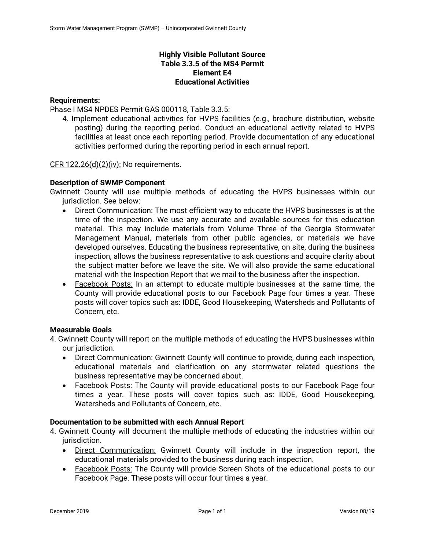# **Highly Visible Pollutant Source Table 3.3.5 of the MS4 Permit Element E4 Educational Activities**

### **Requirements:**

Phase I MS4 NPDES Permit GAS 000118, Table 3.3.5:

4. Implement educational activities for HVPS facilities (e.g., brochure distribution, website posting) during the reporting period. Conduct an educational activity related to HVPS facilities at least once each reporting period. Provide documentation of any educational activities performed during the reporting period in each annual report.

CFR 122.26(d)(2)(iv): No requirements.

### **Description of SWMP Component**

Gwinnett County will use multiple methods of educating the HVPS businesses within our jurisdiction. See below:

- Direct Communication: The most efficient way to educate the HVPS businesses is at the time of the inspection. We use any accurate and available sources for this education material. This may include materials from Volume Three of the Georgia Stormwater Management Manual, materials from other public agencies, or materials we have developed ourselves. Educating the business representative, on site, during the business inspection, allows the business representative to ask questions and acquire clarity about the subject matter before we leave the site. We will also provide the same educational material with the Inspection Report that we mail to the business after the inspection.
- Facebook Posts: In an attempt to educate multiple businesses at the same time, the County will provide educational posts to our Facebook Page four times a year. These posts will cover topics such as: IDDE, Good Housekeeping, Watersheds and Pollutants of Concern, etc.

### **Measurable Goals**

- 4. Gwinnett County will report on the multiple methods of educating the HVPS businesses within our jurisdiction.
	- Direct Communication: Gwinnett County will continue to provide, during each inspection, educational materials and clarification on any stormwater related questions the business representative may be concerned about.
	- Facebook Posts: The County will provide educational posts to our Facebook Page four times a year. These posts will cover topics such as: IDDE, Good Housekeeping, Watersheds and Pollutants of Concern, etc.

### **Documentation to be submitted with each Annual Report**

- 4. Gwinnett County will document the multiple methods of educating the industries within our jurisdiction.
	- Direct Communication: Gwinnett County will include in the inspection report, the educational materials provided to the business during each inspection.
	- Facebook Posts: The County will provide Screen Shots of the educational posts to our Facebook Page. These posts will occur four times a year.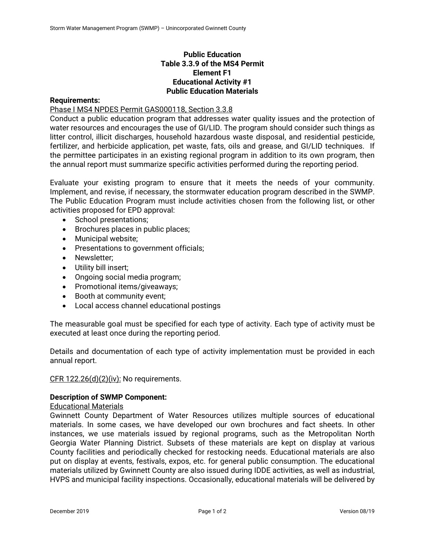# **Public Education Table 3.3.9 of the MS4 Permit Element F1 Educational Activity #1 Public Education Materials**

### **Requirements:**

Phase I MS4 NPDES Permit GAS000118, Section 3.3.8

Conduct a public education program that addresses water quality issues and the protection of water resources and encourages the use of GI/LID. The program should consider such things as litter control, illicit discharges, household hazardous waste disposal, and residential pesticide, fertilizer, and herbicide application, pet waste, fats, oils and grease, and GI/LID techniques. If the permittee participates in an existing regional program in addition to its own program, then the annual report must summarize specific activities performed during the reporting period.

Evaluate your existing program to ensure that it meets the needs of your community. Implement, and revise, if necessary, the stormwater education program described in the SWMP. The Public Education Program must include activities chosen from the following list, or other activities proposed for EPD approval:

- School presentations;
- Brochures places in public places;
- Municipal website;
- Presentations to government officials;
- Newsletter:
- Utility bill insert;
- Ongoing social media program;
- Promotional items/giveawavs:
- Booth at community event;
- Local access channel educational postings

The measurable goal must be specified for each type of activity. Each type of activity must be executed at least once during the reporting period.

Details and documentation of each type of activity implementation must be provided in each annual report.

CFR 122.26(d)(2)(iv): No requirements.

### **Description of SWMP Component:**

#### Educational Materials

Gwinnett County Department of Water Resources utilizes multiple sources of educational materials. In some cases, we have developed our own brochures and fact sheets. In other instances, we use materials issued by regional programs, such as the Metropolitan North Georgia Water Planning District. Subsets of these materials are kept on display at various County facilities and periodically checked for restocking needs. Educational materials are also put on display at events, festivals, expos, etc. for general public consumption. The educational materials utilized by Gwinnett County are also issued during IDDE activities, as well as industrial, HVPS and municipal facility inspections. Occasionally, educational materials will be delivered by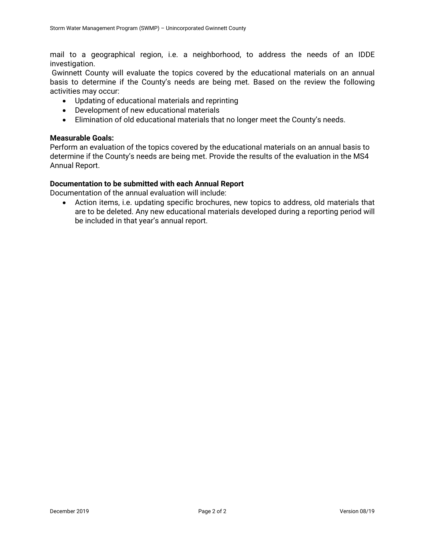mail to a geographical region, i.e. a neighborhood, to address the needs of an IDDE investigation.

 Gwinnett County will evaluate the topics covered by the educational materials on an annual basis to determine if the County's needs are being met. Based on the review the following activities may occur:

- Updating of educational materials and reprinting
- Development of new educational materials
- Elimination of old educational materials that no longer meet the County's needs.

#### **Measurable Goals:**

Perform an evaluation of the topics covered by the educational materials on an annual basis to determine if the County's needs are being met. Provide the results of the evaluation in the MS4 Annual Report.

### **Documentation to be submitted with each Annual Report**

Documentation of the annual evaluation will include:

 Action items, i.e. updating specific brochures, new topics to address, old materials that are to be deleted. Any new educational materials developed during a reporting period will be included in that year's annual report.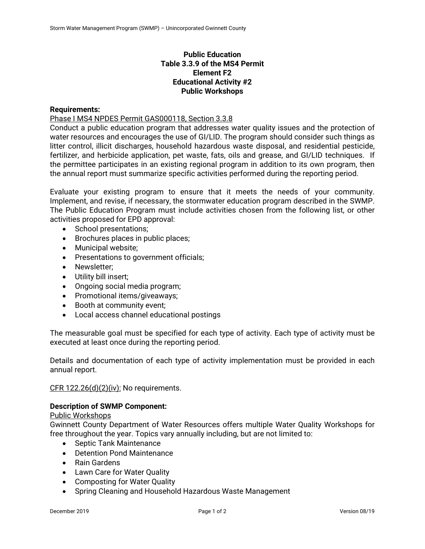# **Public Education Table 3.3.9 of the MS4 Permit Element F2 Educational Activity #2 Public Workshops**

### **Requirements:**

Phase I MS4 NPDES Permit GAS000118, Section 3.3.8

Conduct a public education program that addresses water quality issues and the protection of water resources and encourages the use of GI/LID. The program should consider such things as litter control, illicit discharges, household hazardous waste disposal, and residential pesticide, fertilizer, and herbicide application, pet waste, fats, oils and grease, and GI/LID techniques. If the permittee participates in an existing regional program in addition to its own program, then the annual report must summarize specific activities performed during the reporting period.

Evaluate your existing program to ensure that it meets the needs of your community. Implement, and revise, if necessary, the stormwater education program described in the SWMP. The Public Education Program must include activities chosen from the following list, or other activities proposed for EPD approval:

- School presentations;
- Brochures places in public places;
- Municipal website;
- **•** Presentations to government officials;
- Newsletter:
- Utility bill insert;
- Ongoing social media program;
- Promotional items/giveaways;
- Booth at community event;
- Local access channel educational postings

The measurable goal must be specified for each type of activity. Each type of activity must be executed at least once during the reporting period.

Details and documentation of each type of activity implementation must be provided in each annual report.

CFR 122.26(d)(2)(iv): No requirements.

# **Description of SWMP Component:**

### Public Workshops

Gwinnett County Department of Water Resources offers multiple Water Quality Workshops for free throughout the year. Topics vary annually including, but are not limited to:

- Septic Tank Maintenance
- Detention Pond Maintenance
- Rain Gardens
- Lawn Care for Water Quality
- Composting for Water Quality
- Spring Cleaning and Household Hazardous Waste Management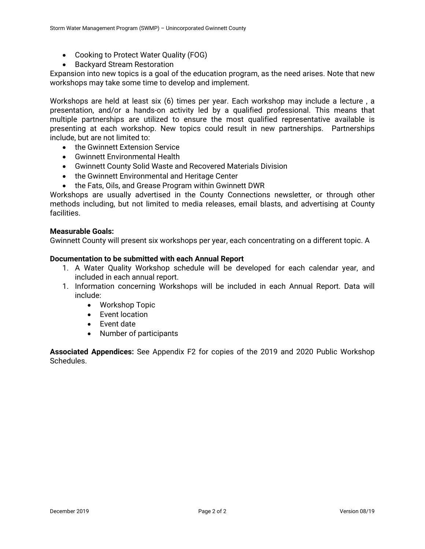- Cooking to Protect Water Quality (FOG)
- **•** Backyard Stream Restoration

Expansion into new topics is a goal of the education program, as the need arises. Note that new workshops may take some time to develop and implement.

Workshops are held at least six (6) times per year. Each workshop may include a lecture , a presentation, and/or a hands-on activity led by a qualified professional. This means that multiple partnerships are utilized to ensure the most qualified representative available is presenting at each workshop. New topics could result in new partnerships. Partnerships include, but are not limited to:

- **the Gwinnett Extension Service**
- Gwinnett Environmental Health
- Gwinnett County Solid Waste and Recovered Materials Division
- the Gwinnett Environmental and Heritage Center
- the Fats, Oils, and Grease Program within Gwinnett DWR

Workshops are usually advertised in the County Connections newsletter, or through other methods including, but not limited to media releases, email blasts, and advertising at County facilities.

#### **Measurable Goals:**

Gwinnett County will present six workshops per year, each concentrating on a different topic. A

#### **Documentation to be submitted with each Annual Report**

- 1. A Water Quality Workshop schedule will be developed for each calendar year, and included in each annual report.
- 1. Information concerning Workshops will be included in each Annual Report. Data will include:
	- Workshop Topic
	- Event location
	- Fvent date
	- Number of participants

**Associated Appendices:** See Appendix F2 for copies of the 2019 and 2020 Public Workshop Schedules.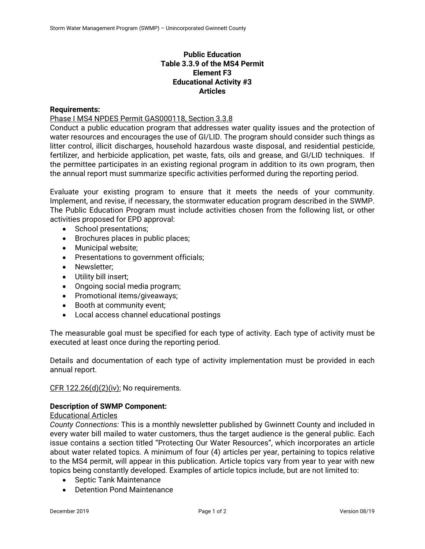# **Public Education Table 3.3.9 of the MS4 Permit Element F3 Educational Activity #3 Articles**

### **Requirements:**

Phase I MS4 NPDES Permit GAS000118, Section 3.3.8

Conduct a public education program that addresses water quality issues and the protection of water resources and encourages the use of GI/LID. The program should consider such things as litter control, illicit discharges, household hazardous waste disposal, and residential pesticide, fertilizer, and herbicide application, pet waste, fats, oils and grease, and GI/LID techniques. If the permittee participates in an existing regional program in addition to its own program, then the annual report must summarize specific activities performed during the reporting period.

Evaluate your existing program to ensure that it meets the needs of your community. Implement, and revise, if necessary, the stormwater education program described in the SWMP. The Public Education Program must include activities chosen from the following list, or other activities proposed for EPD approval:

- School presentations;
- Brochures places in public places;
- Municipal website;
- **•** Presentations to government officials;
- Newsletter:
- Utility bill insert;
- Ongoing social media program;
- Promotional items/giveaways;
- Booth at community event;
- Local access channel educational postings

The measurable goal must be specified for each type of activity. Each type of activity must be executed at least once during the reporting period.

Details and documentation of each type of activity implementation must be provided in each annual report.

CFR 122.26(d)(2)(iv): No requirements.

### **Description of SWMP Component:**

### Educational Articles

*County Connections:* This is a monthly newsletter published by Gwinnett County and included in every water bill mailed to water customers, thus the target audience is the general public. Each issue contains a section titled "Protecting Our Water Resources", which incorporates an article about water related topics. A minimum of four (4) articles per year, pertaining to topics relative to the MS4 permit, will appear in this publication. Article topics vary from year to year with new topics being constantly developed. Examples of article topics include, but are not limited to:

- Septic Tank Maintenance
- Detention Pond Maintenance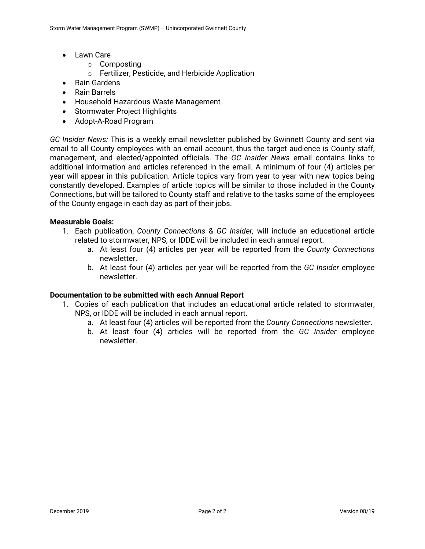- Lawn Care
	- o Composting
	- o Fertilizer, Pesticide, and Herbicide Application
- Rain Gardens
- Rain Barrels
- Household Hazardous Waste Management
- Stormwater Project Highlights
- Adopt-A-Road Program

*GC Insider News:* This is a weekly email newsletter published by Gwinnett County and sent via email to all County employees with an email account, thus the target audience is County staff, management, and elected/appointed officials. The *GC Insider News* email contains links to additional information and articles referenced in the email. A minimum of four (4) articles per year will appear in this publication. Article topics vary from year to year with new topics being constantly developed. Examples of article topics will be similar to those included in the County Connections, but will be tailored to County staff and relative to the tasks some of the employees of the County engage in each day as part of their jobs.

### **Measurable Goals:**

- 1. Each publication, *County Connections* & *GC Insider,* will include an educational article related to stormwater, NPS, or IDDE will be included in each annual report.
	- a. At least four (4) articles per year will be reported from the *County Connections* newsletter.
	- b. At least four (4) articles per year will be reported from the *GC Insider* employee newsletter.

### **Documentation to be submitted with each Annual Report**

- 1. Copies of each publication that includes an educational article related to stormwater, NPS, or IDDE will be included in each annual report.
	- a. At least four (4) articles will be reported from the *County Connections* newsletter.
	- b. At least four (4) articles will be reported from the *GC Insider* employee newsletter.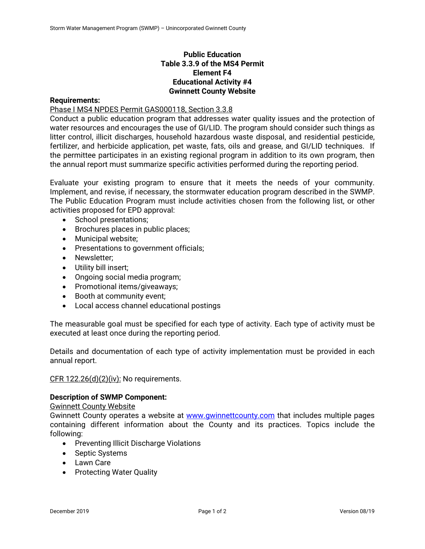# **Public Education Table 3.3.9 of the MS4 Permit Element F4 Educational Activity #4 Gwinnett County Website**

### **Requirements:**

Phase I MS4 NPDES Permit GAS000118, Section 3.3.8

Conduct a public education program that addresses water quality issues and the protection of water resources and encourages the use of GI/LID. The program should consider such things as litter control, illicit discharges, household hazardous waste disposal, and residential pesticide, fertilizer, and herbicide application, pet waste, fats, oils and grease, and GI/LID techniques. If the permittee participates in an existing regional program in addition to its own program, then the annual report must summarize specific activities performed during the reporting period.

Evaluate your existing program to ensure that it meets the needs of your community. Implement, and revise, if necessary, the stormwater education program described in the SWMP. The Public Education Program must include activities chosen from the following list, or other activities proposed for EPD approval:

- School presentations;
- Brochures places in public places;
- Municipal website;
- Presentations to government officials;
- Newsletter:
- Utility bill insert;
- Ongoing social media program;
- Promotional items/giveaways;
- Booth at community event;
- Local access channel educational postings

The measurable goal must be specified for each type of activity. Each type of activity must be executed at least once during the reporting period.

Details and documentation of each type of activity implementation must be provided in each annual report.

CFR 122.26(d)(2)(iv): No requirements.

### **Description of SWMP Component:**

#### Gwinnett County Website

Gwinnett County operates a website at **www.gwinnettcounty.com** that includes multiple pages containing different information about the County and its practices. Topics include the following:

- Preventing Illicit Discharge Violations
- Septic Systems
- Lawn Care
- Protecting Water Quality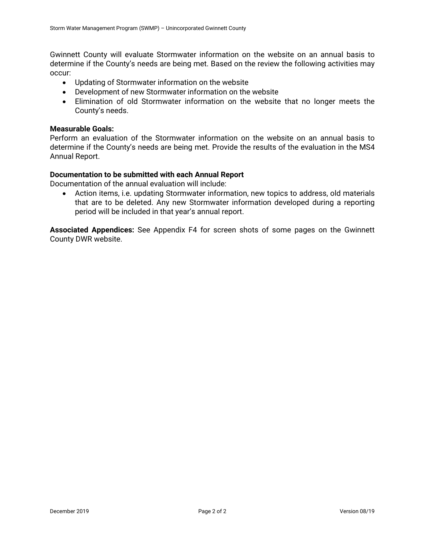Gwinnett County will evaluate Stormwater information on the website on an annual basis to determine if the County's needs are being met. Based on the review the following activities may occur:

- Updating of Stormwater information on the website
- Development of new Stormwater information on the website
- Elimination of old Stormwater information on the website that no longer meets the County's needs.

### **Measurable Goals:**

Perform an evaluation of the Stormwater information on the website on an annual basis to determine if the County's needs are being met. Provide the results of the evaluation in the MS4 Annual Report.

### **Documentation to be submitted with each Annual Report**

Documentation of the annual evaluation will include:

 Action items, i.e. updating Stormwater information, new topics to address, old materials that are to be deleted. Any new Stormwater information developed during a reporting period will be included in that year's annual report.

**Associated Appendices:** See Appendix F4 for screen shots of some pages on the Gwinnett County DWR website.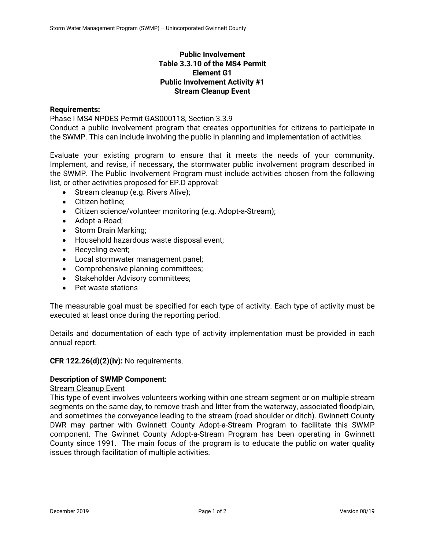# **Public Involvement Table 3.3.10 of the MS4 Permit Element G1 Public Involvement Activity #1 Stream Cleanup Event**

### **Requirements:**

Phase I MS4 NPDES Permit GAS000118, Section 3.3.9

Conduct a public involvement program that creates opportunities for citizens to participate in the SWMP. This can include involving the public in planning and implementation of activities.

Evaluate your existing program to ensure that it meets the needs of your community. Implement, and revise, if necessary, the stormwater public involvement program described in the SWMP. The Public Involvement Program must include activities chosen from the following list, or other activities proposed for EP.D approval:

- Stream cleanup (e.g. Rivers Alive);
- Citizen hotline:
- Citizen science/volunteer monitoring (e.g. Adopt-a-Stream);
- Adopt-a-Road;
- Storm Drain Marking;
- Household hazardous waste disposal event;
- Recycling event;
- Local stormwater management panel;
- Comprehensive planning committees;
- Stakeholder Advisory committees;
- Pet waste stations

The measurable goal must be specified for each type of activity. Each type of activity must be executed at least once during the reporting period.

Details and documentation of each type of activity implementation must be provided in each annual report.

### **CFR 122.26(d)(2)(iv):** No requirements.

### **Description of SWMP Component:**

# Stream Cleanup Event

This type of event involves volunteers working within one stream segment or on multiple stream segments on the same day, to remove trash and litter from the waterway, associated floodplain, and sometimes the conveyance leading to the stream (road shoulder or ditch). Gwinnett County DWR may partner with Gwinnett County Adopt-a-Stream Program to facilitate this SWMP component. The Gwinnet County Adopt-a-Stream Program has been operating in Gwinnett County since 1991. The main focus of the program is to educate the public on water quality issues through facilitation of multiple activities.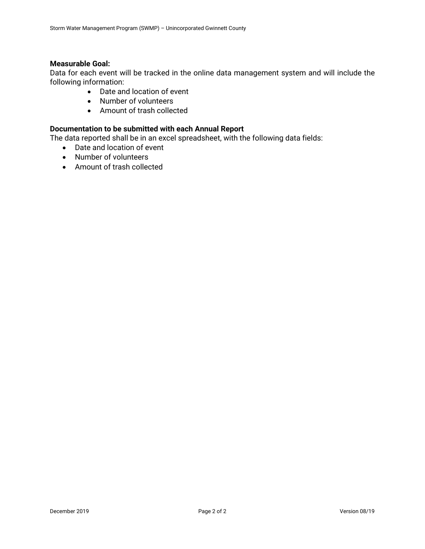### **Measurable Goal:**

Data for each event will be tracked in the online data management system and will include the following information:

- Date and location of event
- Number of volunteers
- Amount of trash collected

### **Documentation to be submitted with each Annual Report**

The data reported shall be in an excel spreadsheet, with the following data fields:

- Date and location of event
- Number of volunteers
- Amount of trash collected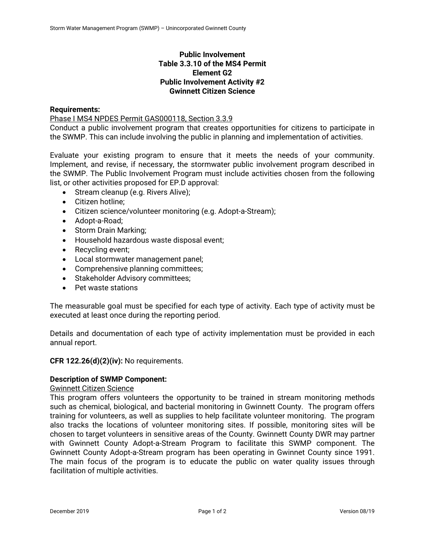# **Public Involvement Table 3.3.10 of the MS4 Permit Element G2 Public Involvement Activity #2 Gwinnett Citizen Science**

### **Requirements:**

Phase I MS4 NPDES Permit GAS000118, Section 3.3.9

Conduct a public involvement program that creates opportunities for citizens to participate in the SWMP. This can include involving the public in planning and implementation of activities.

Evaluate your existing program to ensure that it meets the needs of your community. Implement, and revise, if necessary, the stormwater public involvement program described in the SWMP. The Public Involvement Program must include activities chosen from the following list, or other activities proposed for EP.D approval:

- Stream cleanup (e.g. Rivers Alive);
- Citizen hotline:
- Citizen science/volunteer monitoring (e.g. Adopt-a-Stream);
- Adopt-a-Road;
- Storm Drain Marking;
- Household hazardous waste disposal event;
- Recycling event;
- Local stormwater management panel;
- Comprehensive planning committees;
- Stakeholder Advisory committees;
- Pet waste stations

The measurable goal must be specified for each type of activity. Each type of activity must be executed at least once during the reporting period.

Details and documentation of each type of activity implementation must be provided in each annual report.

### **CFR 122.26(d)(2)(iv):** No requirements.

# **Description of SWMP Component:**

### Gwinnett Citizen Science

This program offers volunteers the opportunity to be trained in stream monitoring methods such as chemical, biological, and bacterial monitoring in Gwinnett County. The program offers training for volunteers, as well as supplies to help facilitate volunteer monitoring. The program also tracks the locations of volunteer monitoring sites. If possible, monitoring sites will be chosen to target volunteers in sensitive areas of the County. Gwinnett County DWR may partner with Gwinnett County Adopt-a-Stream Program to facilitate this SWMP component. The Gwinnett County Adopt-a-Stream program has been operating in Gwinnet County since 1991. The main focus of the program is to educate the public on water quality issues through facilitation of multiple activities.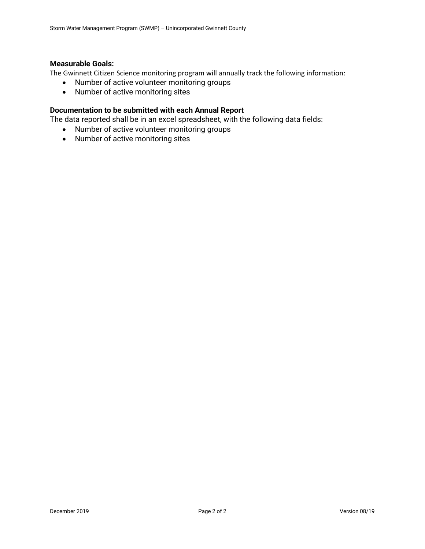### **Measurable Goals:**

The Gwinnett Citizen Science monitoring program will annually track the following information:

- Number of active volunteer monitoring groups
- Number of active monitoring sites

# **Documentation to be submitted with each Annual Report**

The data reported shall be in an excel spreadsheet, with the following data fields:

- Number of active volunteer monitoring groups
- Number of active monitoring sites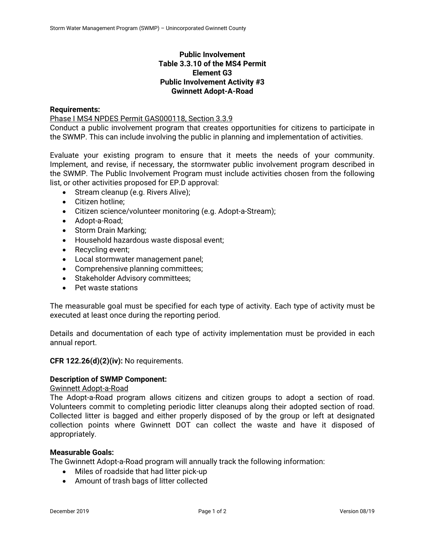# **Public Involvement Table 3.3.10 of the MS4 Permit Element G3 Public Involvement Activity #3 Gwinnett Adopt-A-Road**

### **Requirements:**

Phase I MS4 NPDES Permit GAS000118, Section 3.3.9

Conduct a public involvement program that creates opportunities for citizens to participate in the SWMP. This can include involving the public in planning and implementation of activities.

Evaluate your existing program to ensure that it meets the needs of your community. Implement, and revise, if necessary, the stormwater public involvement program described in the SWMP. The Public Involvement Program must include activities chosen from the following list, or other activities proposed for EP.D approval:

- Stream cleanup (e.g. Rivers Alive);
- Citizen hotline:
- Citizen science/volunteer monitoring (e.g. Adopt-a-Stream);
- Adopt-a-Road;
- Storm Drain Marking;
- Household hazardous waste disposal event;
- Recycling event;
- Local stormwater management panel;
- Comprehensive planning committees;
- Stakeholder Advisory committees;
- Pet waste stations

The measurable goal must be specified for each type of activity. Each type of activity must be executed at least once during the reporting period.

Details and documentation of each type of activity implementation must be provided in each annual report.

### **CFR 122.26(d)(2)(iv):** No requirements.

### **Description of SWMP Component:**

### Gwinnett Adopt-a-Road

The Adopt-a-Road program allows citizens and citizen groups to adopt a section of road. Volunteers commit to completing periodic litter cleanups along their adopted section of road. Collected litter is bagged and either properly disposed of by the group or left at designated collection points where Gwinnett DOT can collect the waste and have it disposed of appropriately.

#### **Measurable Goals:**

The Gwinnett Adopt-a-Road program will annually track the following information:

- Miles of roadside that had litter pick-up
- Amount of trash bags of litter collected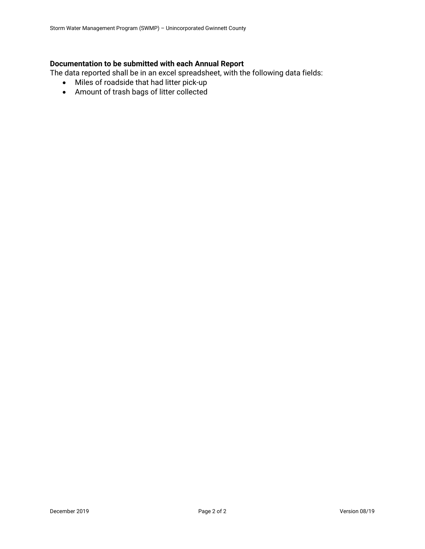# **Documentation to be submitted with each Annual Report**

The data reported shall be in an excel spreadsheet, with the following data fields:

- Miles of roadside that had litter pick-up
- Amount of trash bags of litter collected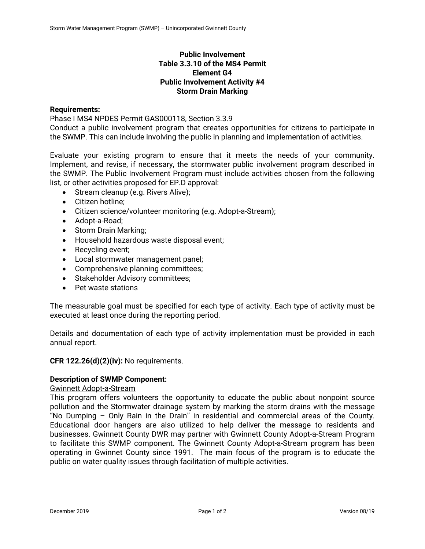# **Public Involvement Table 3.3.10 of the MS4 Permit Element G4 Public Involvement Activity #4 Storm Drain Marking**

### **Requirements:**

Phase I MS4 NPDES Permit GAS000118, Section 3.3.9

Conduct a public involvement program that creates opportunities for citizens to participate in the SWMP. This can include involving the public in planning and implementation of activities.

Evaluate your existing program to ensure that it meets the needs of your community. Implement, and revise, if necessary, the stormwater public involvement program described in the SWMP. The Public Involvement Program must include activities chosen from the following list, or other activities proposed for EP.D approval:

- Stream cleanup (e.g. Rivers Alive);
- Citizen hotline:
- Citizen science/volunteer monitoring (e.g. Adopt-a-Stream);
- Adopt-a-Road;
- Storm Drain Marking;
- Household hazardous waste disposal event;
- Recycling event;
- Local stormwater management panel;
- Comprehensive planning committees;
- Stakeholder Advisory committees;
- Pet waste stations

The measurable goal must be specified for each type of activity. Each type of activity must be executed at least once during the reporting period.

Details and documentation of each type of activity implementation must be provided in each annual report.

### **CFR 122.26(d)(2)(iv):** No requirements.

# **Description of SWMP Component:**

### Gwinnett Adopt-a-Stream

This program offers volunteers the opportunity to educate the public about nonpoint source pollution and the Stormwater drainage system by marking the storm drains with the message "No Dumping – Only Rain in the Drain" in residential and commercial areas of the County. Educational door hangers are also utilized to help deliver the message to residents and businesses. Gwinnett County DWR may partner with Gwinnett County Adopt-a-Stream Program to facilitate this SWMP component. The Gwinnett County Adopt-a-Stream program has been operating in Gwinnet County since 1991. The main focus of the program is to educate the public on water quality issues through facilitation of multiple activities.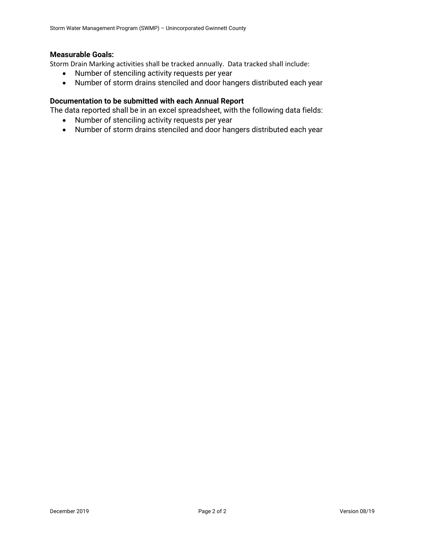# **Measurable Goals:**

Storm Drain Marking activities shall be tracked annually. Data tracked shall include:

- Number of stenciling activity requests per year
- Number of storm drains stenciled and door hangers distributed each year

## **Documentation to be submitted with each Annual Report**

The data reported shall be in an excel spreadsheet, with the following data fields:

- Number of stenciling activity requests per year
- Number of storm drains stenciled and door hangers distributed each year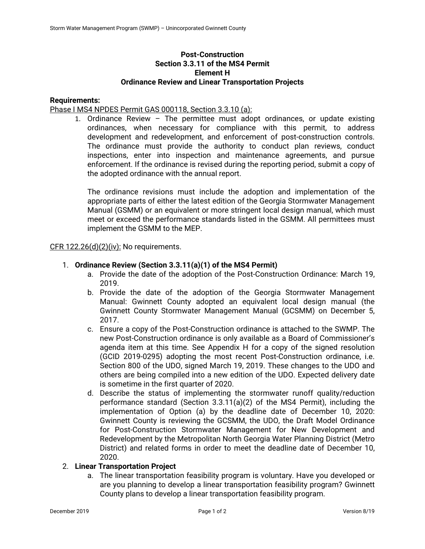# **Post-Construction Section 3.3.11 of the MS4 Permit Element H Ordinance Review and Linear Transportation Projects**

### **Requirements:**

Phase I MS4 NPDES Permit GAS 000118, Section 3.3.10 (a):

1. Ordinance Review – The permittee must adopt ordinances, or update existing ordinances, when necessary for compliance with this permit, to address development and redevelopment, and enforcement of post-construction controls. The ordinance must provide the authority to conduct plan reviews, conduct inspections, enter into inspection and maintenance agreements, and pursue enforcement. If the ordinance is revised during the reporting period, submit a copy of the adopted ordinance with the annual report.

The ordinance revisions must include the adoption and implementation of the appropriate parts of either the latest edition of the Georgia Stormwater Management Manual (GSMM) or an equivalent or more stringent local design manual, which must meet or exceed the performance standards listed in the GSMM. All permittees must implement the GSMM to the MEP.

### $CFR$  122.26(d)(2)(iv): No requirements.

### 1. **Ordinance Review (Section 3.3.11(a)(1) of the MS4 Permit)**

- a. Provide the date of the adoption of the Post-Construction Ordinance: March 19, 2019.
- b. Provide the date of the adoption of the Georgia Stormwater Management Manual: Gwinnett County adopted an equivalent local design manual (the Gwinnett County Stormwater Management Manual (GCSMM) on December 5, 2017.
- c. Ensure a copy of the Post-Construction ordinance is attached to the SWMP. The new Post-Construction ordinance is only available as a Board of Commissioner's agenda item at this time. See Appendix H for a copy of the signed resolution (GCID 2019-0295) adopting the most recent Post-Construction ordinance, i.e. Section 800 of the UDO, signed March 19, 2019. These changes to the UDO and others are being compiled into a new edition of the UDO. Expected delivery date is sometime in the first quarter of 2020.
- d. Describe the status of implementing the stormwater runoff quality/reduction performance standard (Section 3.3.11(a)(2) of the MS4 Permit), including the implementation of Option (a) by the deadline date of December 10, 2020: Gwinnett County is reviewing the GCSMM, the UDO, the Draft Model Ordinance for Post-Construction Stormwater Management for New Development and Redevelopment by the Metropolitan North Georgia Water Planning District (Metro District) and related forms in order to meet the deadline date of December 10, 2020.

### 2. **Linear Transportation Project**

a. The linear transportation feasibility program is voluntary. Have you developed or are you planning to develop a linear transportation feasibility program? Gwinnett County plans to develop a linear transportation feasibility program.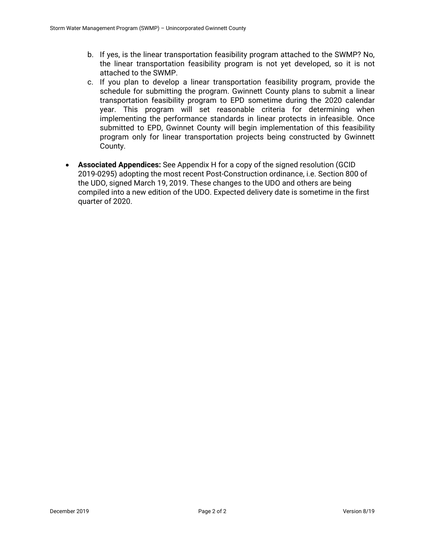- b. If yes, is the linear transportation feasibility program attached to the SWMP? No, the linear transportation feasibility program is not yet developed, so it is not attached to the SWMP.
- c. If you plan to develop a linear transportation feasibility program, provide the schedule for submitting the program. Gwinnett County plans to submit a linear transportation feasibility program to EPD sometime during the 2020 calendar year. This program will set reasonable criteria for determining when implementing the performance standards in linear protects in infeasible. Once submitted to EPD, Gwinnet County will begin implementation of this feasibility program only for linear transportation projects being constructed by Gwinnett County.
- **Associated Appendices:** See Appendix H for a copy of the signed resolution (GCID 2019-0295) adopting the most recent Post-Construction ordinance, i.e. Section 800 of the UDO, signed March 19, 2019. These changes to the UDO and others are being compiled into a new edition of the UDO. Expected delivery date is sometime in the first quarter of 2020.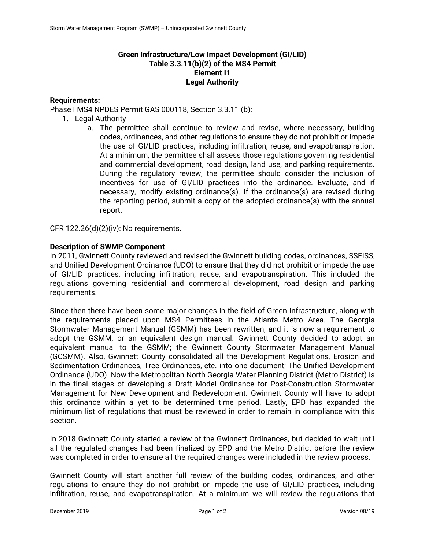## **Green Infrastructure/Low Impact Development (GI/LID) Table 3.3.11(b)(2) of the MS4 Permit Element I1 Legal Authority**

### **Requirements:**

### Phase I MS4 NPDES Permit GAS 000118, Section 3.3.11 (b):

- 1. Legal Authority
	- a. The permittee shall continue to review and revise, where necessary, building codes, ordinances, and other regulations to ensure they do not prohibit or impede the use of GI/LID practices, including infiltration, reuse, and evapotranspiration. At a minimum, the permittee shall assess those regulations governing residential and commercial development, road design, land use, and parking requirements. During the regulatory review, the permittee should consider the inclusion of incentives for use of GI/LID practices into the ordinance. Evaluate, and if necessary, modify existing ordinance(s). If the ordinance(s) are revised during the reporting period, submit a copy of the adopted ordinance(s) with the annual report.

CFR 122.26(d)(2)(iv): No requirements.

### **Description of SWMP Component**

In 2011, Gwinnett County reviewed and revised the Gwinnett building codes, ordinances, SSFISS, and Unified Development Ordinance (UDO) to ensure that they did not prohibit or impede the use of GI/LID practices, including infiltration, reuse, and evapotranspiration. This included the regulations governing residential and commercial development, road design and parking requirements.

Since then there have been some major changes in the field of Green Infrastructure, along with the requirements placed upon MS4 Permittees in the Atlanta Metro Area. The Georgia Stormwater Management Manual (GSMM) has been rewritten, and it is now a requirement to adopt the GSMM, or an equivalent design manual. Gwinnett County decided to adopt an equivalent manual to the GSMM; the Gwinnett County Stormwater Management Manual (GCSMM). Also, Gwinnett County consolidated all the Development Regulations, Erosion and Sedimentation Ordinances, Tree Ordinances, etc. into one document; The Unified Development Ordinance (UDO). Now the Metropolitan North Georgia Water Planning District (Metro District) is in the final stages of developing a Draft Model Ordinance for Post-Construction Stormwater Management for New Development and Redevelopment. Gwinnett County will have to adopt this ordinance within a yet to be determined time period. Lastly, EPD has expanded the minimum list of regulations that must be reviewed in order to remain in compliance with this section.

In 2018 Gwinnett County started a review of the Gwinnett Ordinances, but decided to wait until all the regulated changes had been finalized by EPD and the Metro District before the review was completed in order to ensure all the required changes were included in the review process.

Gwinnett County will start another full review of the building codes, ordinances, and other regulations to ensure they do not prohibit or impede the use of GI/LID practices, including infiltration, reuse, and evapotranspiration. At a minimum we will review the regulations that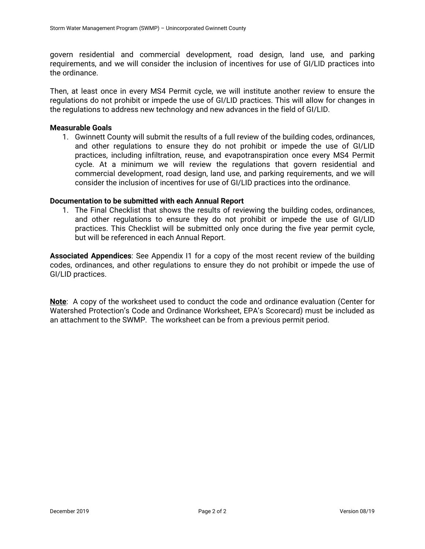govern residential and commercial development, road design, land use, and parking requirements, and we will consider the inclusion of incentives for use of GI/LID practices into the ordinance.

Then, at least once in every MS4 Permit cycle, we will institute another review to ensure the regulations do not prohibit or impede the use of GI/LID practices. This will allow for changes in the regulations to address new technology and new advances in the field of GI/LID.

#### **Measurable Goals**

1. Gwinnett County will submit the results of a full review of the building codes, ordinances, and other regulations to ensure they do not prohibit or impede the use of GI/LID practices, including infiltration, reuse, and evapotranspiration once every MS4 Permit cycle. At a minimum we will review the regulations that govern residential and commercial development, road design, land use, and parking requirements, and we will consider the inclusion of incentives for use of GI/LID practices into the ordinance.

#### **Documentation to be submitted with each Annual Report**

1. The Final Checklist that shows the results of reviewing the building codes, ordinances, and other regulations to ensure they do not prohibit or impede the use of GI/LID practices. This Checklist will be submitted only once during the five year permit cycle, but will be referenced in each Annual Report.

**Associated Appendices**: See Appendix I1 for a copy of the most recent review of the building codes, ordinances, and other regulations to ensure they do not prohibit or impede the use of GI/LID practices.

**Note**: A copy of the worksheet used to conduct the code and ordinance evaluation (Center for Watershed Protection's Code and Ordinance Worksheet, EPA's Scorecard) must be included as an attachment to the SWMP. The worksheet can be from a previous permit period.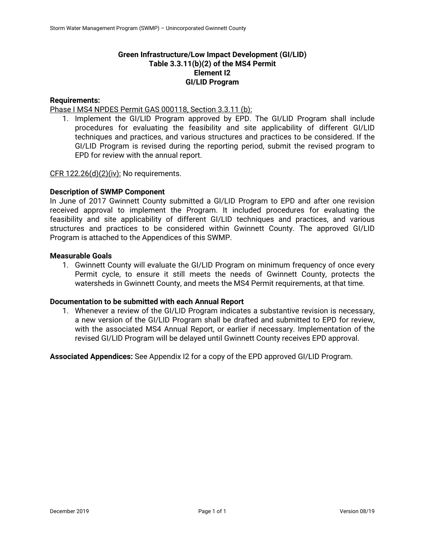## **Green Infrastructure/Low Impact Development (GI/LID) Table 3.3.11(b)(2) of the MS4 Permit Element I2 GI/LID Program**

### **Requirements:**

Phase I MS4 NPDES Permit GAS 000118, Section 3.3.11 (b):

1. Implement the GI/LID Program approved by EPD. The GI/LID Program shall include procedures for evaluating the feasibility and site applicability of different GI/LID techniques and practices, and various structures and practices to be considered. If the GI/LID Program is revised during the reporting period, submit the revised program to EPD for review with the annual report.

CFR  $122.26(d)(2)(iv)$ : No requirements.

### **Description of SWMP Component**

In June of 2017 Gwinnett County submitted a GI/LID Program to EPD and after one revision received approval to implement the Program. It included procedures for evaluating the feasibility and site applicability of different GI/LID techniques and practices, and various structures and practices to be considered within Gwinnett County. The approved GI/LID Program is attached to the Appendices of this SWMP.

## **Measurable Goals**

1. Gwinnett County will evaluate the GI/LID Program on minimum frequency of once every Permit cycle, to ensure it still meets the needs of Gwinnett County, protects the watersheds in Gwinnett County, and meets the MS4 Permit requirements, at that time.

### **Documentation to be submitted with each Annual Report**

1. Whenever a review of the GI/LID Program indicates a substantive revision is necessary, a new version of the GI/LID Program shall be drafted and submitted to EPD for review, with the associated MS4 Annual Report, or earlier if necessary. Implementation of the revised GI/LID Program will be delayed until Gwinnett County receives EPD approval.

**Associated Appendices:** See Appendix I2 for a copy of the EPD approved GI/LID Program.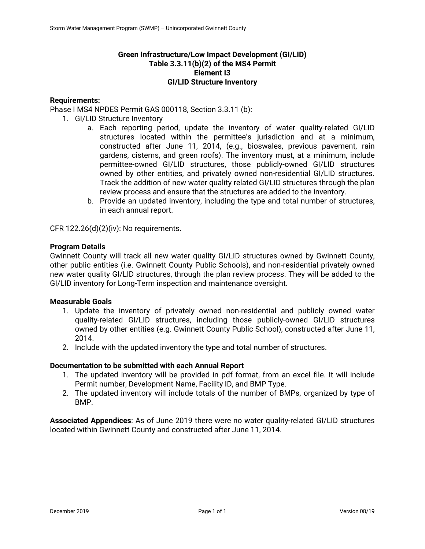# **Green Infrastructure/Low Impact Development (GI/LID) Table 3.3.11(b)(2) of the MS4 Permit Element I3 GI/LID Structure Inventory**

## **Requirements:**

Phase I MS4 NPDES Permit GAS 000118, Section 3.3.11 (b):

- 1. GI/LID Structure Inventory
	- a. Each reporting period, update the inventory of water quality-related GI/LID structures located within the permittee's jurisdiction and at a minimum, constructed after June 11, 2014, (e.g., bioswales, previous pavement, rain gardens, cisterns, and green roofs). The inventory must, at a minimum, include permittee-owned GI/LID structures, those publicly-owned GI/LID structures owned by other entities, and privately owned non-residential GI/LID structures. Track the addition of new water quality related GI/LID structures through the plan review process and ensure that the structures are added to the inventory.
	- b. Provide an updated inventory, including the type and total number of structures, in each annual report.

CFR 122.26(d)(2)(iv): No requirements.

### **Program Details**

Gwinnett County will track all new water quality GI/LID structures owned by Gwinnett County, other public entities (i.e. Gwinnett County Public Schools), and non-residential privately owned new water quality GI/LID structures, through the plan review process. They will be added to the GI/LID inventory for Long-Term inspection and maintenance oversight.

### **Measurable Goals**

- 1. Update the inventory of privately owned non-residential and publicly owned water quality-related GI/LID structures, including those publicly-owned GI/LID structures owned by other entities (e.g. Gwinnett County Public School), constructed after June 11, 2014.
- 2. Include with the updated inventory the type and total number of structures.

### **Documentation to be submitted with each Annual Report**

- 1. The updated inventory will be provided in pdf format, from an excel file. It will include Permit number, Development Name, Facility ID, and BMP Type.
- 2. The updated inventory will include totals of the number of BMPs, organized by type of BMP.

**Associated Appendices**: As of June 2019 there were no water quality-related GI/LID structures located within Gwinnett County and constructed after June 11, 2014.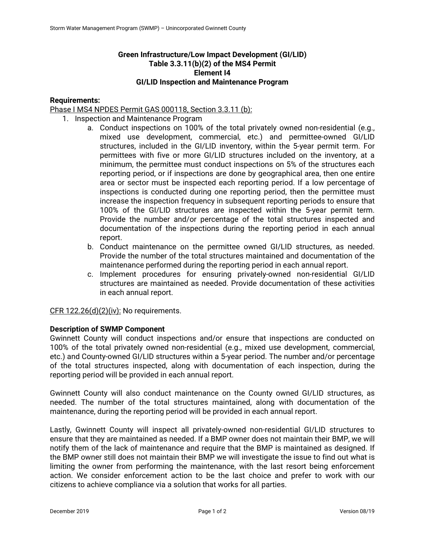# **Green Infrastructure/Low Impact Development (GI/LID) Table 3.3.11(b)(2) of the MS4 Permit Element I4 GI/LID Inspection and Maintenance Program**

### **Requirements:**

Phase I MS4 NPDES Permit GAS 000118, Section 3.3.11 (b):

- 1. Inspection and Maintenance Program
	- a. Conduct inspections on 100% of the total privately owned non-residential (e.g., mixed use development, commercial, etc.) and permittee-owned GI/LID structures, included in the GI/LID inventory, within the 5-year permit term. For permittees with five or more GI/LID structures included on the inventory, at a minimum, the permittee must conduct inspections on 5% of the structures each reporting period, or if inspections are done by geographical area, then one entire area or sector must be inspected each reporting period. If a low percentage of inspections is conducted during one reporting period, then the permittee must increase the inspection frequency in subsequent reporting periods to ensure that 100% of the GI/LID structures are inspected within the 5-year permit term. Provide the number and/or percentage of the total structures inspected and documentation of the inspections during the reporting period in each annual report.
	- b. Conduct maintenance on the permittee owned GI/LID structures, as needed. Provide the number of the total structures maintained and documentation of the maintenance performed during the reporting period in each annual report.
	- c. Implement procedures for ensuring privately-owned non-residential GI/LID structures are maintained as needed. Provide documentation of these activities in each annual report.

CFR  $122.26(d)(2)(iv)$ : No requirements.

### **Description of SWMP Component**

Gwinnett County will conduct inspections and/or ensure that inspections are conducted on 100% of the total privately owned non-residential (e.g., mixed use development, commercial, etc.) and County-owned GI/LID structures within a 5-year period. The number and/or percentage of the total structures inspected, along with documentation of each inspection, during the reporting period will be provided in each annual report.

Gwinnett County will also conduct maintenance on the County owned GI/LID structures, as needed. The number of the total structures maintained, along with documentation of the maintenance, during the reporting period will be provided in each annual report.

Lastly, Gwinnett County will inspect all privately-owned non-residential GI/LID structures to ensure that they are maintained as needed. If a BMP owner does not maintain their BMP, we will notify them of the lack of maintenance and require that the BMP is maintained as designed. If the BMP owner still does not maintain their BMP we will investigate the issue to find out what is limiting the owner from performing the maintenance, with the last resort being enforcement action. We consider enforcement action to be the last choice and prefer to work with our citizens to achieve compliance via a solution that works for all parties.